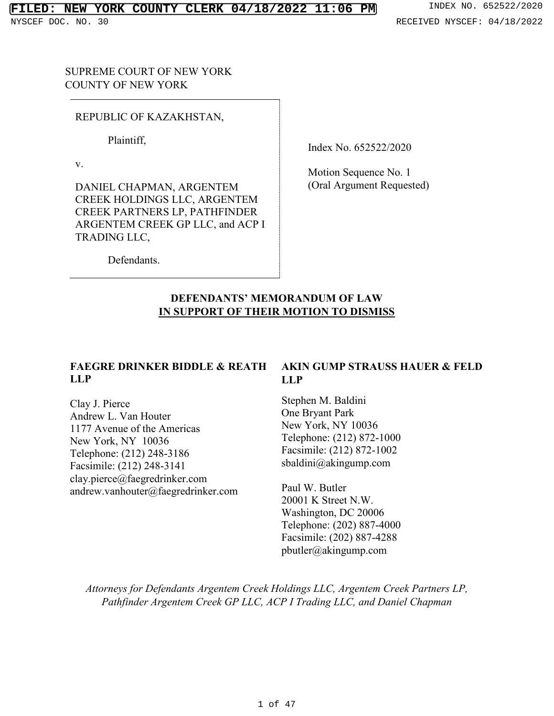SUPREME COURT OF NEW YORK COUNTY OF NEW YORK

REPUBLIC OF KAZAKHSTAN,

Plaintiff,

v.

DANIEL CHAPMAN, ARGENTEM CREEK HOLDINGS LLC, ARGENTEM CREEK PARTNERS LP, PATHFINDER ARGENTEM CREEK GP LLC, and ACP I TRADING LLC,

Index No. 652522/2020

Motion Sequence No. 1 (Oral Argument Requested)

Defendants.

# **DEFENDANTS' MEMORANDUM OF LAW IN SUPPORT OF THEIR MOTION TO DISMISS**

# **FAEGRE DRINKER BIDDLE & REATH LLP**

Clay J. Pierce Andrew L. Van Houter 1177 Avenue of the Americas New York, NY 10036 Telephone: (212) 248-3186 Facsimile: (212) 248-3141 clay.pierce@faegredrinker.com andrew.vanhouter@faegredrinker.com

# **AKIN GUMP STRAUSS HAUER & FELD LLP**

Stephen M. Baldini One Bryant Park New York, NY 10036 Telephone: (212) 872-1000 Facsimile: (212) 872-1002 sbaldini@akingump.com

Paul W. Butler 20001 K Street N.W. Washington, DC 20006 Telephone: (202) 887-4000 Facsimile: (202) 887-4288 pbutler@akingump.com

*Attorneys for Defendants Argentem Creek Holdings LLC, Argentem Creek Partners LP, Pathfinder Argentem Creek GP LLC, ACP I Trading LLC, and Daniel Chapman*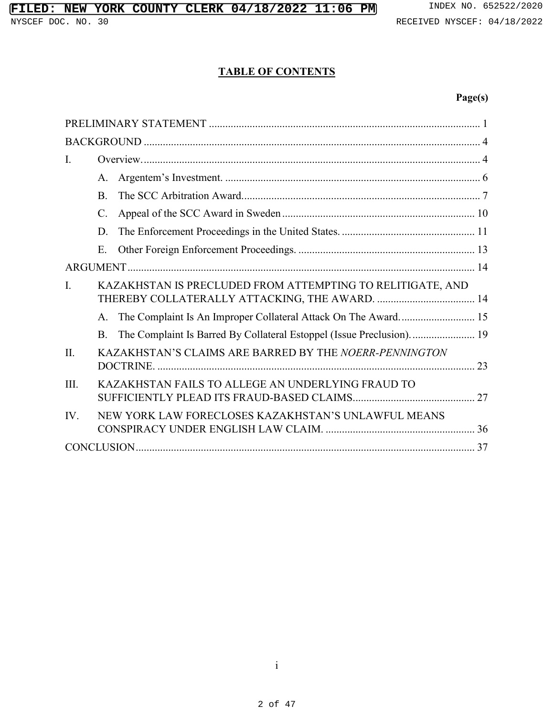# **TABLE OF CONTENTS**

# **Page(s)**

| $\mathbf{I}$ . |                                                                                        |  |
|----------------|----------------------------------------------------------------------------------------|--|
|                | A.                                                                                     |  |
|                | $\mathbf{B}$                                                                           |  |
|                | $C_{\cdot}$                                                                            |  |
|                | D.                                                                                     |  |
|                | E.                                                                                     |  |
|                |                                                                                        |  |
| $\mathbf{I}$ . | KAZAKHSTAN IS PRECLUDED FROM ATTEMPTING TO RELITIGATE, AND                             |  |
|                | The Complaint Is An Improper Collateral Attack On The Award 15<br>$A_{1}$              |  |
|                | The Complaint Is Barred By Collateral Estoppel (Issue Preclusion).  19<br>$\mathbf{B}$ |  |
| $\Pi$ .        | KAZAKHSTAN'S CLAIMS ARE BARRED BY THE NOERR-PENNINGTON                                 |  |
| III.           | KAZAKHSTAN FAILS TO ALLEGE AN UNDERLYING FRAUD TO                                      |  |
| IV.            | NEW YORK LAW FORECLOSES KAZAKHSTAN'S UNLAWFUL MEANS                                    |  |
|                |                                                                                        |  |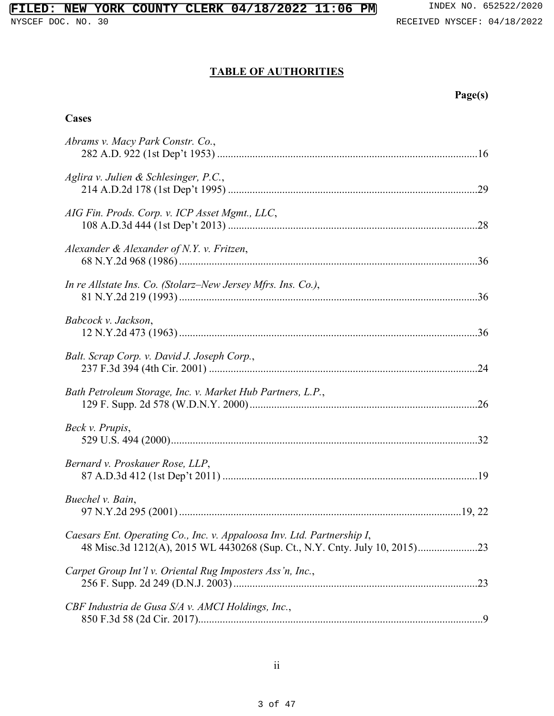# **FILED: NEW YORK COUNTY CLERK 04/18/2022 11:06 PM** INDEX NO. 652522/2020

# **TABLE OF AUTHORITIES**

| ro er<br>S<br>., |
|------------------|
|------------------|

## **Cases**

| Abrams v. Macy Park Constr. Co.,                                       |
|------------------------------------------------------------------------|
| Aglira v. Julien & Schlesinger, P.C.,                                  |
| AIG Fin. Prods. Corp. v. ICP Asset Mgmt., LLC,                         |
| Alexander & Alexander of N.Y. v. Fritzen,                              |
| In re Allstate Ins. Co. (Stolarz–New Jersey Mfrs. Ins. Co.),           |
| Babcock v. Jackson,                                                    |
| Balt. Scrap Corp. v. David J. Joseph Corp.,                            |
| Bath Petroleum Storage, Inc. v. Market Hub Partners, L.P.,             |
| Beck v. Prupis,                                                        |
| Bernard v. Proskauer Rose, LLP,                                        |
| Buechel v. Bain,                                                       |
| Caesars Ent. Operating Co., Inc. v. Appaloosa Inv. Ltd. Partnership I, |
| Carpet Group Int'l v. Oriental Rug Imposters Ass'n, Inc.,              |
| CBF Industria de Gusa S/A v. AMCI Holdings, Inc.,                      |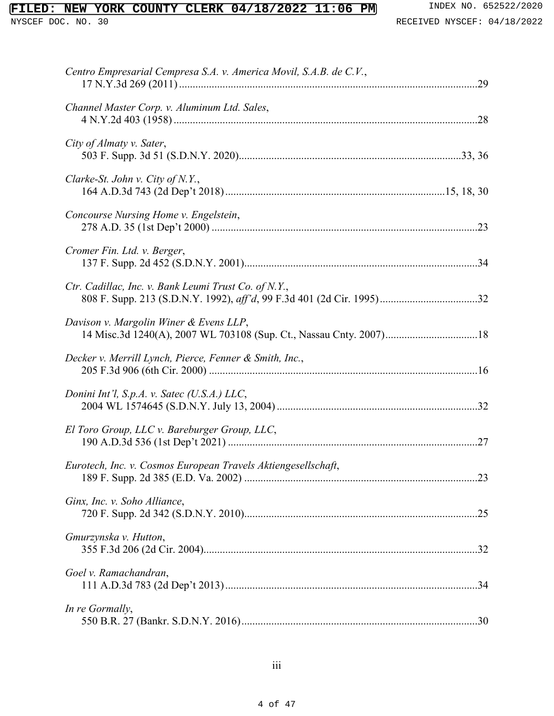| Centro Empresarial Cempresa S.A. v. America Movil, S.A.B. de C.V.,                                           |
|--------------------------------------------------------------------------------------------------------------|
| Channel Master Corp. v. Aluminum Ltd. Sales,                                                                 |
| City of Almaty v. Sater,                                                                                     |
| Clarke-St. John v. City of N.Y.,                                                                             |
| Concourse Nursing Home v. Engelstein,                                                                        |
| Cromer Fin. Ltd. v. Berger,                                                                                  |
| Ctr. Cadillac, Inc. v. Bank Leumi Trust Co. of N.Y.,                                                         |
| Davison v. Margolin Winer & Evens LLP,<br>14 Misc.3d 1240(A), 2007 WL 703108 (Sup. Ct., Nassau Cnty. 2007)18 |
| Decker v. Merrill Lynch, Pierce, Fenner & Smith, Inc.,                                                       |
| Donini Int'l, S.p.A. v. Satec (U.S.A.) LLC,                                                                  |
| El Toro Group, LLC v. Bareburger Group, LLC,                                                                 |
| Eurotech, Inc. v. Cosmos European Travels Aktiengesellschaft,                                                |
| Ginx, Inc. v. Soho Alliance,                                                                                 |
| Gmurzynska v. Hutton,                                                                                        |
| Goel v. Ramachandran,                                                                                        |
| In re Gormally,                                                                                              |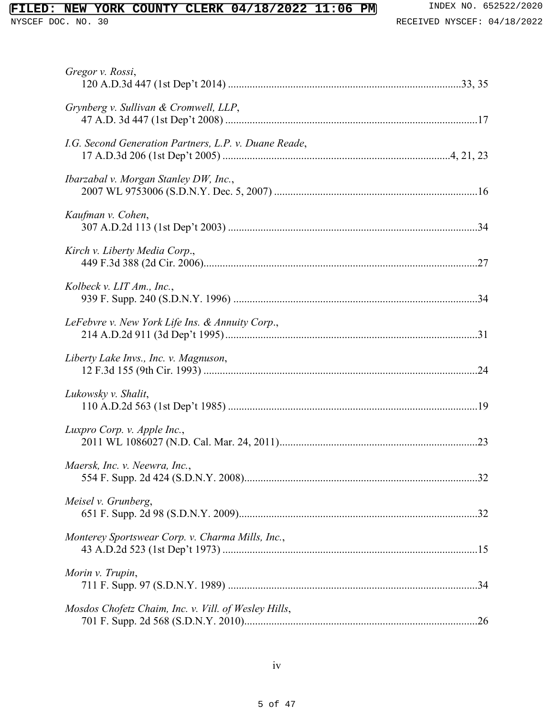| Gregor v. Rossi,                                      |  |
|-------------------------------------------------------|--|
| Grynberg v. Sullivan & Cromwell, LLP,                 |  |
| I.G. Second Generation Partners, L.P. v. Duane Reade, |  |
| Ibarzabal v. Morgan Stanley DW, Inc.,                 |  |
| Kaufman v. Cohen,                                     |  |
| Kirch v. Liberty Media Corp.,                         |  |
| Kolbeck v. LIT Am., Inc.,                             |  |
| LeFebvre v. New York Life Ins. & Annuity Corp.,       |  |
| Liberty Lake Invs., Inc. v. Magnuson,                 |  |
| Lukowsky v. Shalit,                                   |  |
| Luxpro Corp. v. Apple Inc.,                           |  |
| Maersk, Inc. v. Neewra, Inc.,                         |  |
| Meisel v. Grunberg,                                   |  |
| Monterey Sportswear Corp. v. Charma Mills, Inc.,      |  |
| Morin v. Trupin,                                      |  |
| Mosdos Chofetz Chaim, Inc. v. Vill. of Wesley Hills,  |  |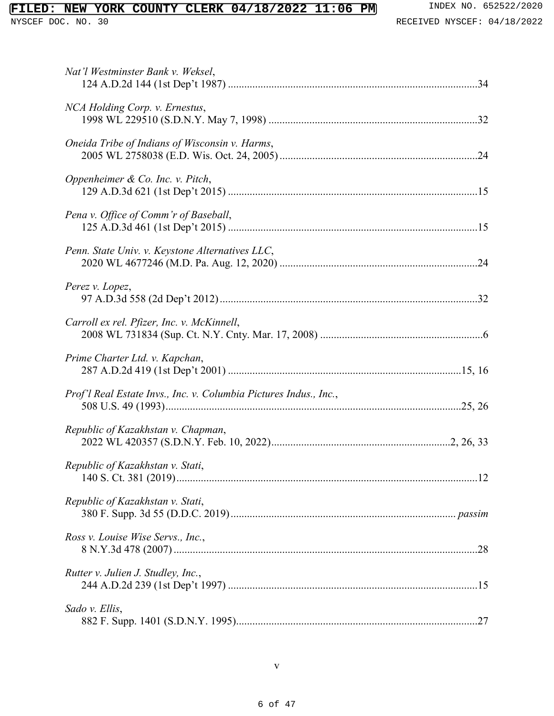| Nat'l Westminster Bank v. Weksel,                                 |
|-------------------------------------------------------------------|
| NCA Holding Corp. v. Ernestus,                                    |
| Oneida Tribe of Indians of Wisconsin v. Harms,                    |
| Oppenheimer & Co. Inc. v. Pitch,                                  |
| Pena v. Office of Comm'r of Baseball,                             |
| Penn. State Univ. v. Keystone Alternatives LLC,                   |
| Perez v. Lopez,                                                   |
| Carroll ex rel. Pfizer, Inc. v. McKinnell,                        |
| Prime Charter Ltd. v. Kapchan,                                    |
| Prof'l Real Estate Invs., Inc. v. Columbia Pictures Indus., Inc., |
| Republic of Kazakhstan v. Chapman,                                |
| Republic of Kazakhstan v. Stati,                                  |
| Republic of Kazakhstan v. Stati,                                  |
| Ross v. Louise Wise Servs., Inc.,                                 |
|                                                                   |
| Rutter v. Julien J. Studley, Inc.,                                |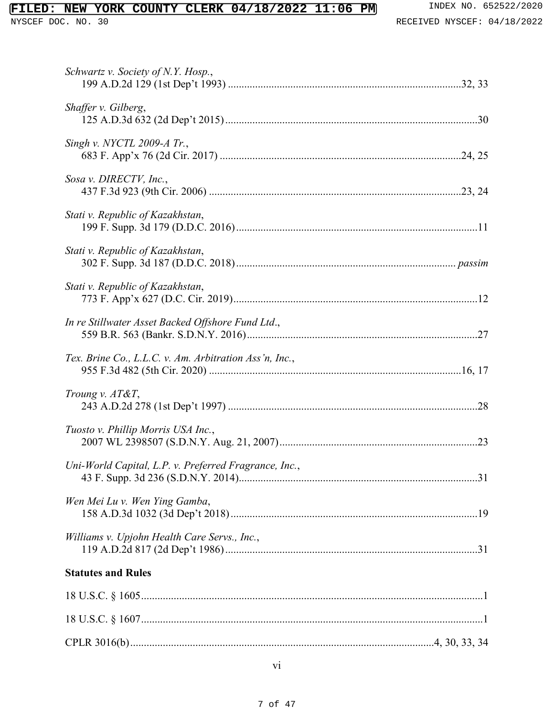| Schwartz v. Society of N.Y. Hosp.,                     |
|--------------------------------------------------------|
| Shaffer v. Gilberg,                                    |
| Singh v. NYCTL 2009-A Tr.,                             |
| Sosa v. DIRECTV, Inc.,                                 |
| Stati v. Republic of Kazakhstan,                       |
| Stati v. Republic of Kazakhstan,                       |
| Stati v. Republic of Kazakhstan,                       |
| In re Stillwater Asset Backed Offshore Fund Ltd.,      |
| Tex. Brine Co., L.L.C. v. Am. Arbitration Ass'n, Inc., |
| Troung v. $AT\&T$ ,                                    |
| Tuosto v. Phillip Morris USA Inc.,                     |
| Uni-World Capital, L.P. v. Preferred Fragrance, Inc.,  |
| Wen Mei Lu v. Wen Ying Gamba,                          |
| Williams v. Upjohn Health Care Servs., Inc.,           |
| <b>Statutes and Rules</b>                              |
|                                                        |
|                                                        |
|                                                        |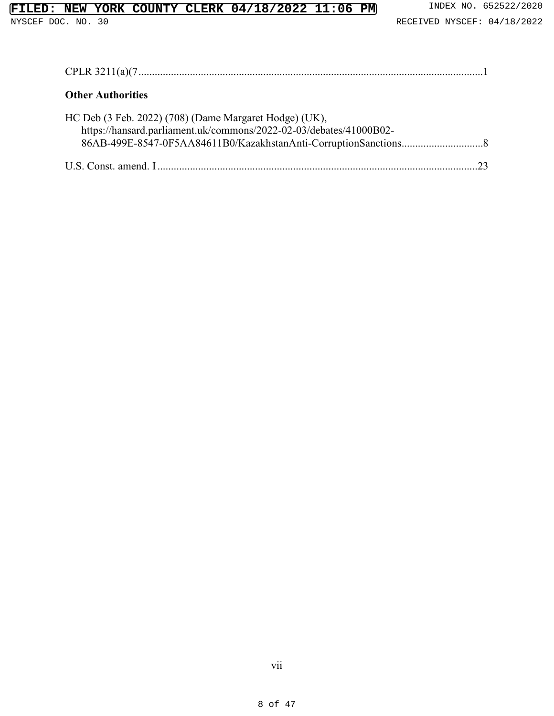# **FILED: NEW YORK COUNTY CLERK 04/18/2022 11:06 PM** INDEX NO. 652522/2020

| <b>Other Authorities</b>                                                                                                     |
|------------------------------------------------------------------------------------------------------------------------------|
| HC Deb (3 Feb. 2022) (708) (Dame Margaret Hodge) (UK),<br>https://hansard.parliament.uk/commons/2022-02-03/debates/41000B02- |
|                                                                                                                              |

vii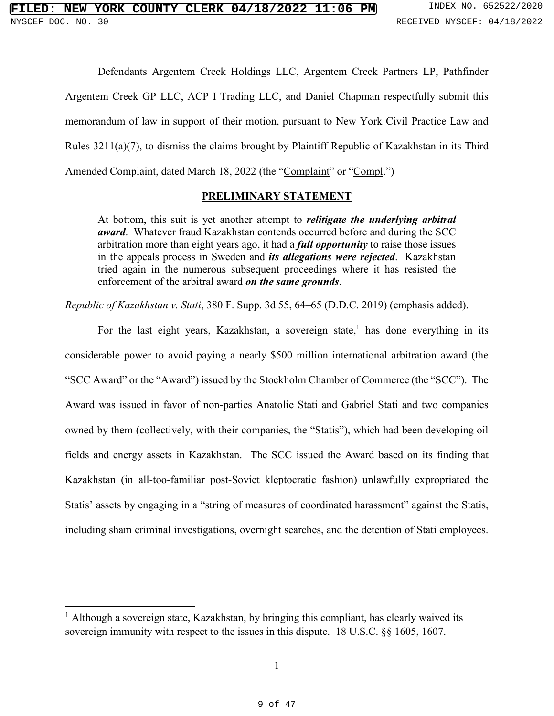Defendants Argentem Creek Holdings LLC, Argentem Creek Partners LP, Pathfinder Argentem Creek GP LLC, ACP I Trading LLC, and Daniel Chapman respectfully submit this memorandum of law in support of their motion, pursuant to New York Civil Practice Law and Rules 3211(a)(7), to dismiss the claims brought by Plaintiff Republic of Kazakhstan in its Third Amended Complaint, dated March 18, 2022 (the "Complaint" or "Compl.")

#### **PRELIMINARY STATEMENT**

At bottom, this suit is yet another attempt to *relitigate the underlying arbitral award*. Whatever fraud Kazakhstan contends occurred before and during the SCC arbitration more than eight years ago, it had a *full opportunity* to raise those issues in the appeals process in Sweden and *its allegations were rejected*. Kazakhstan tried again in the numerous subsequent proceedings where it has resisted the enforcement of the arbitral award *on the same grounds*.

*Republic of Kazakhstan v. Stati*, 380 F. Supp. 3d 55, 64–65 (D.D.C. 2019) (emphasis added).

For the last eight years, Kazakhstan, a sovereign state,<sup>1</sup> has done everything in its considerable power to avoid paying a nearly \$500 million international arbitration award (the "SCC Award" or the "Award" issued by the Stockholm Chamber of Commerce (the "SCC"). The Award was issued in favor of non-parties Anatolie Stati and Gabriel Stati and two companies owned by them (collectively, with their companies, the "Statis"), which had been developing oil fields and energy assets in Kazakhstan. The SCC issued the Award based on its finding that Kazakhstan (in all-too-familiar post-Soviet kleptocratic fashion) unlawfully expropriated the Statis' assets by engaging in a "string of measures of coordinated harassment" against the Statis, including sham criminal investigations, overnight searches, and the detention of Stati employees.

 $\overline{a}$ 

<sup>&</sup>lt;sup>1</sup> Although a sovereign state, Kazakhstan, by bringing this compliant, has clearly waived its sovereign immunity with respect to the issues in this dispute. 18 U.S.C. §§ 1605, 1607.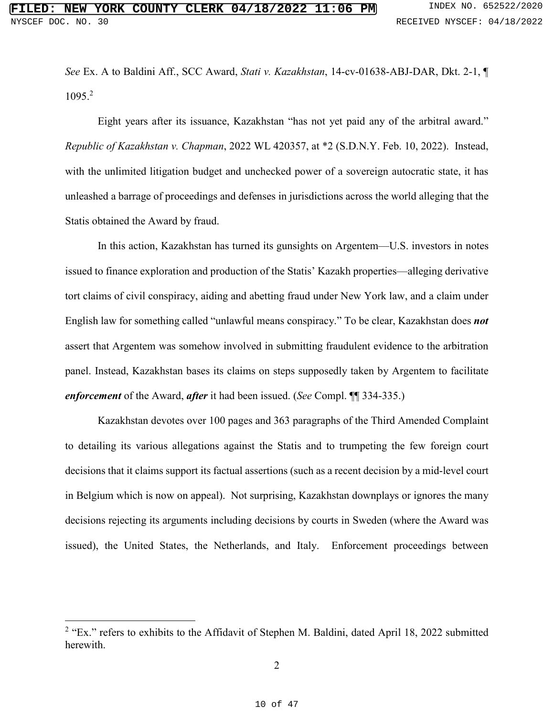*See* Ex. A to Baldini Aff., SCC Award, *Stati v. Kazakhstan*, 14-cv-01638-ABJ-DAR, Dkt. 2-1, ¶ 1095.<sup>2</sup>

Eight years after its issuance, Kazakhstan "has not yet paid any of the arbitral award." *Republic of Kazakhstan v. Chapman*, 2022 WL 420357, at \*2 (S.D.N.Y. Feb. 10, 2022). Instead, with the unlimited litigation budget and unchecked power of a sovereign autocratic state, it has unleashed a barrage of proceedings and defenses in jurisdictions across the world alleging that the Statis obtained the Award by fraud.

In this action, Kazakhstan has turned its gunsights on Argentem—U.S. investors in notes issued to finance exploration and production of the Statis' Kazakh properties—alleging derivative tort claims of civil conspiracy, aiding and abetting fraud under New York law, and a claim under English law for something called "unlawful means conspiracy." To be clear, Kazakhstan does *not* assert that Argentem was somehow involved in submitting fraudulent evidence to the arbitration panel. Instead, Kazakhstan bases its claims on steps supposedly taken by Argentem to facilitate *enforcement* of the Award, *after* it had been issued. (*See* Compl. ¶¶ 334-335.)

Kazakhstan devotes over 100 pages and 363 paragraphs of the Third Amended Complaint to detailing its various allegations against the Statis and to trumpeting the few foreign court decisions that it claims support its factual assertions (such as a recent decision by a mid-level court in Belgium which is now on appeal). Not surprising, Kazakhstan downplays or ignores the many decisions rejecting its arguments including decisions by courts in Sweden (where the Award was issued), the United States, the Netherlands, and Italy. Enforcement proceedings between

 $\overline{a}$ 

<sup>&</sup>lt;sup>2</sup> "Ex." refers to exhibits to the Affidavit of Stephen M. Baldini, dated April 18, 2022 submitted herewith.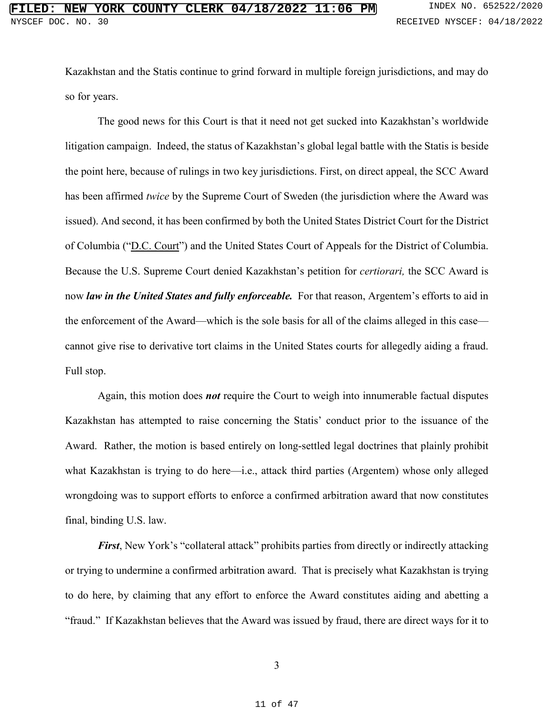Kazakhstan and the Statis continue to grind forward in multiple foreign jurisdictions, and may do so for years.

The good news for this Court is that it need not get sucked into Kazakhstan's worldwide litigation campaign. Indeed, the status of Kazakhstan's global legal battle with the Statis is beside the point here, because of rulings in two key jurisdictions. First, on direct appeal, the SCC Award has been affirmed *twice* by the Supreme Court of Sweden (the jurisdiction where the Award was issued). And second, it has been confirmed by both the United States District Court for the District of Columbia ("D.C. Court") and the United States Court of Appeals for the District of Columbia. Because the U.S. Supreme Court denied Kazakhstan's petition for *certiorari,* the SCC Award is now *law in the United States and fully enforceable.* For that reason, Argentem's efforts to aid in the enforcement of the Award—which is the sole basis for all of the claims alleged in this case cannot give rise to derivative tort claims in the United States courts for allegedly aiding a fraud. Full stop.

Again, this motion does *not* require the Court to weigh into innumerable factual disputes Kazakhstan has attempted to raise concerning the Statis' conduct prior to the issuance of the Award. Rather, the motion is based entirely on long-settled legal doctrines that plainly prohibit what Kazakhstan is trying to do here—i.e., attack third parties (Argentem) whose only alleged wrongdoing was to support efforts to enforce a confirmed arbitration award that now constitutes final, binding U.S. law.

*First*, New York's "collateral attack" prohibits parties from directly or indirectly attacking or trying to undermine a confirmed arbitration award. That is precisely what Kazakhstan is trying to do here, by claiming that any effort to enforce the Award constitutes aiding and abetting a "fraud." If Kazakhstan believes that the Award was issued by fraud, there are direct ways for it to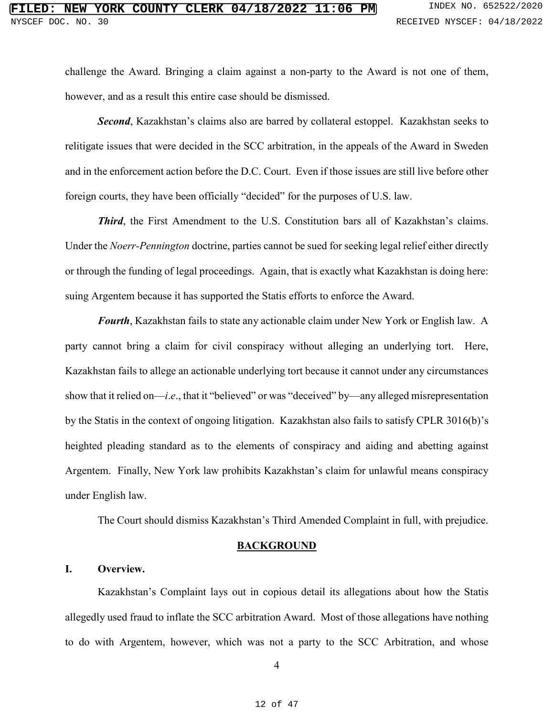challenge the Award. Bringing a claim against a non-party to the Award is not one of them, however, and as a result this entire case should be dismissed.

*Second*, Kazakhstan's claims also are barred by collateral estoppel. Kazakhstan seeks to relitigate issues that were decided in the SCC arbitration, in the appeals of the Award in Sweden and in the enforcement action before the D.C. Court. Even if those issues are still live before other foreign courts, they have been officially "decided" for the purposes of U.S. law.

*Third*, the First Amendment to the U.S. Constitution bars all of Kazakhstan's claims. Under the *Noerr-Pennington* doctrine, parties cannot be sued for seeking legal relief either directly or through the funding of legal proceedings. Again, that is exactly what Kazakhstan is doing here: suing Argentem because it has supported the Statis efforts to enforce the Award.

*Fourth*, Kazakhstan fails to state any actionable claim under New York or English law. A party cannot bring a claim for civil conspiracy without alleging an underlying tort. Here, Kazakhstan fails to allege an actionable underlying tort because it cannot under any circumstances show that it relied on—*i*.*e*., that it "believed" or was "deceived" by—any alleged misrepresentation by the Statis in the context of ongoing litigation. Kazakhstan also fails to satisfy CPLR 3016(b)'s heighted pleading standard as to the elements of conspiracy and aiding and abetting against Argentem. Finally, New York law prohibits Kazakhstan's claim for unlawful means conspiracy under English law.

The Court should dismiss Kazakhstan's Third Amended Complaint in full, with prejudice.

#### **BACKGROUND**

#### **I. Overview.**

Kazakhstan's Complaint lays out in copious detail its allegations about how the Statis allegedly used fraud to inflate the SCC arbitration Award. Most of those allegations have nothing to do with Argentem, however, which was not a party to the SCC Arbitration, and whose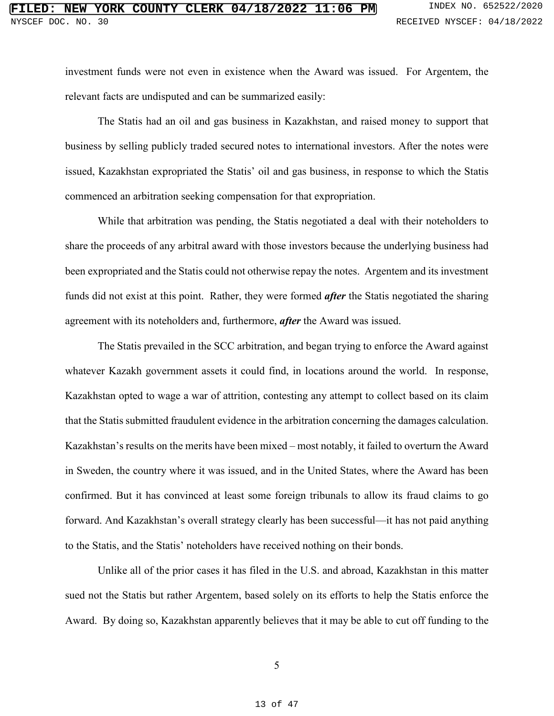investment funds were not even in existence when the Award was issued. For Argentem, the relevant facts are undisputed and can be summarized easily:

The Statis had an oil and gas business in Kazakhstan, and raised money to support that business by selling publicly traded secured notes to international investors. After the notes were issued, Kazakhstan expropriated the Statis' oil and gas business, in response to which the Statis commenced an arbitration seeking compensation for that expropriation.

While that arbitration was pending, the Statis negotiated a deal with their noteholders to share the proceeds of any arbitral award with those investors because the underlying business had been expropriated and the Statis could not otherwise repay the notes. Argentem and its investment funds did not exist at this point. Rather, they were formed *after* the Statis negotiated the sharing agreement with its noteholders and, furthermore, *after* the Award was issued.

The Statis prevailed in the SCC arbitration, and began trying to enforce the Award against whatever Kazakh government assets it could find, in locations around the world. In response, Kazakhstan opted to wage a war of attrition, contesting any attempt to collect based on its claim that the Statis submitted fraudulent evidence in the arbitration concerning the damages calculation. Kazakhstan's results on the merits have been mixed – most notably, it failed to overturn the Award in Sweden, the country where it was issued, and in the United States, where the Award has been confirmed. But it has convinced at least some foreign tribunals to allow its fraud claims to go forward. And Kazakhstan's overall strategy clearly has been successful—it has not paid anything to the Statis, and the Statis' noteholders have received nothing on their bonds.

Unlike all of the prior cases it has filed in the U.S. and abroad, Kazakhstan in this matter sued not the Statis but rather Argentem, based solely on its efforts to help the Statis enforce the Award. By doing so, Kazakhstan apparently believes that it may be able to cut off funding to the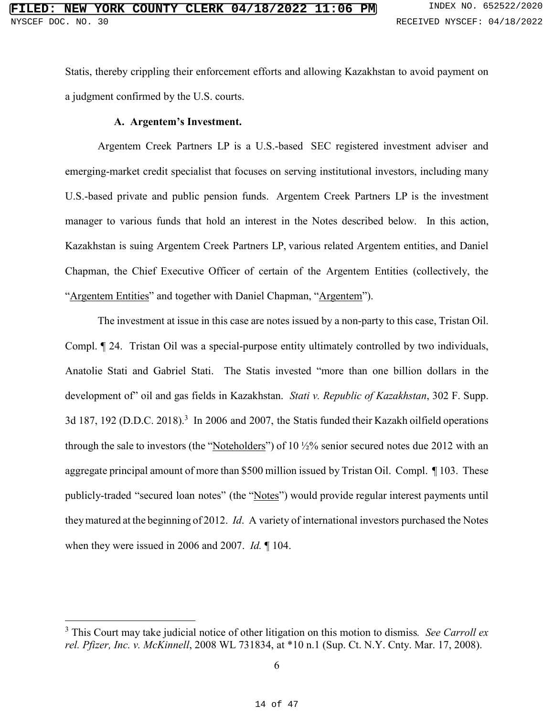Statis, thereby crippling their enforcement efforts and allowing Kazakhstan to avoid payment on a judgment confirmed by the U.S. courts.

### **A. Argentem's Investment.**

 $\overline{a}$ 

Argentem Creek Partners LP is a U.S.-based SEC registered investment adviser and emerging-market credit specialist that focuses on serving institutional investors, including many U.S.-based private and public pension funds. Argentem Creek Partners LP is the investment manager to various funds that hold an interest in the Notes described below. In this action, Kazakhstan is suing Argentem Creek Partners LP, various related Argentem entities, and Daniel Chapman, the Chief Executive Officer of certain of the Argentem Entities (collectively, the "Argentem Entities" and together with Daniel Chapman, "Argentem").

The investment at issue in this case are notes issued by a non-party to this case, Tristan Oil. Compl. ¶ 24. Tristan Oil was a special-purpose entity ultimately controlled by two individuals, Anatolie Stati and Gabriel Stati. The Statis invested "more than one billion dollars in the development of" oil and gas fields in Kazakhstan. *Stati v. Republic of Kazakhstan*, 302 F. Supp. 3d 187, 192 (D.D.C. 2018).<sup>3</sup> In 2006 and 2007, the Statis funded their Kazakh oilfield operations through the sale to investors (the "Noteholders") of 10  $\frac{1}{2}$ % senior secured notes due 2012 with an aggregate principal amount of more than \$500 million issued by Tristan Oil. Compl. ¶ 103. These publicly-traded "secured loan notes" (the "Notes") would provide regular interest payments until they matured at the beginning of 2012. *Id*. A variety of international investors purchased the Notes when they were issued in 2006 and 2007. *Id.* ¶ 104.

<sup>3</sup> This Court may take judicial notice of other litigation on this motion to dismiss*. See Carroll ex rel. Pfizer, Inc. v. McKinnell*, 2008 WL 731834, at \*10 n.1 (Sup. Ct. N.Y. Cnty. Mar. 17, 2008).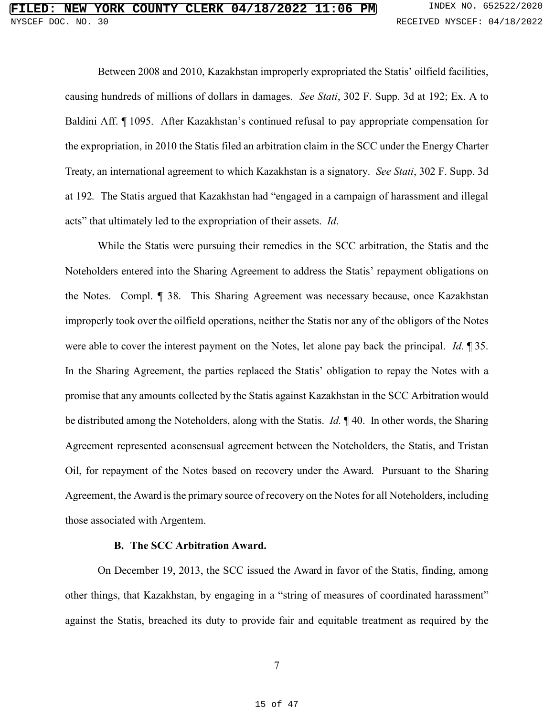Between 2008 and 2010, Kazakhstan improperly expropriated the Statis' oilfield facilities, causing hundreds of millions of dollars in damages. *See Stati*, 302 F. Supp. 3d at 192; Ex. A to Baldini Aff. ¶ 1095. After Kazakhstan's continued refusal to pay appropriate compensation for the expropriation, in 2010 the Statis filed an arbitration claim in the SCC under the Energy Charter Treaty, an international agreement to which Kazakhstan is a signatory. *See Stati*, 302 F. Supp. 3d at 192*.* The Statis argued that Kazakhstan had "engaged in a campaign of harassment and illegal acts" that ultimately led to the expropriation of their assets. *Id*.

While the Statis were pursuing their remedies in the SCC arbitration, the Statis and the Noteholders entered into the Sharing Agreement to address the Statis' repayment obligations on the Notes. Compl. ¶ 38. This Sharing Agreement was necessary because, once Kazakhstan improperly took over the oilfield operations, neither the Statis nor any of the obligors of the Notes were able to cover the interest payment on the Notes, let alone pay back the principal. *Id.* ¶ 35. In the Sharing Agreement, the parties replaced the Statis' obligation to repay the Notes with a promise that any amounts collected by the Statis against Kazakhstan in the SCC Arbitration would be distributed among the Noteholders, along with the Statis. *Id.* ¶ 40. In other words, the Sharing Agreement represented a consensual agreement between the Noteholders, the Statis, and Tristan Oil, for repayment of the Notes based on recovery under the Award. Pursuant to the Sharing Agreement, the Award is the primary source of recovery on the Notes for all Noteholders, including those associated with Argentem.

#### **B. The SCC Arbitration Award.**

 On December 19, 2013, the SCC issued the Award in favor of the Statis, finding, among other things, that Kazakhstan, by engaging in a "string of measures of coordinated harassment" against the Statis, breached its duty to provide fair and equitable treatment as required by the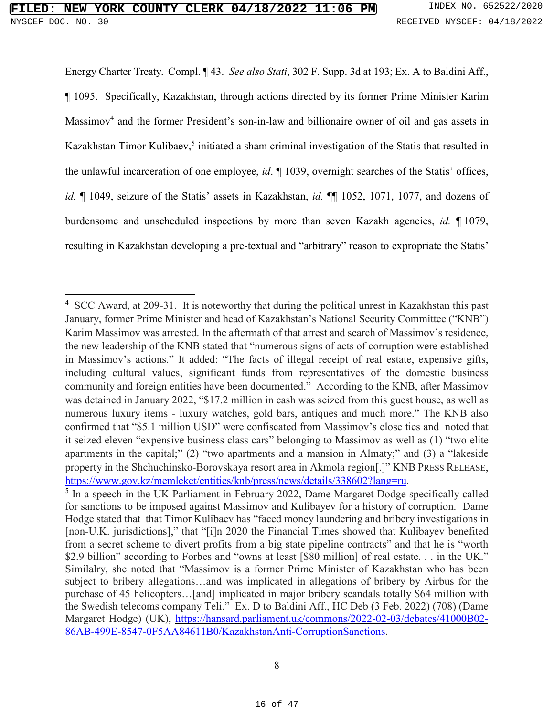$\overline{a}$ 

Energy Charter Treaty. Compl. ¶ 43. *See also Stati*, 302 F. Supp. 3d at 193; Ex. A to Baldini Aff., ¶ 1095. Specifically, Kazakhstan, through actions directed by its former Prime Minister Karim Massimov<sup>4</sup> and the former President's son-in-law and billionaire owner of oil and gas assets in Kazakhstan Timor Kulibaev,<sup>5</sup> initiated a sham criminal investigation of the Statis that resulted in the unlawful incarceration of one employee, *id*. ¶ 1039, overnight searches of the Statis' offices, *id.* ¶ 1049, seizure of the Statis' assets in Kazakhstan, *id.* ¶¶ 1052, 1071, 1077, and dozens of burdensome and unscheduled inspections by more than seven Kazakh agencies, *id.* ¶ 1079, resulting in Kazakhstan developing a pre-textual and "arbitrary" reason to expropriate the Statis'

<sup>&</sup>lt;sup>4</sup> SCC Award, at 209-31. It is noteworthy that during the political unrest in Kazakhstan this past January, former Prime Minister and head of Kazakhstan's National Security Committee ("KNB") Karim Massimov was arrested. In the aftermath of that arrest and search of Massimov's residence, the new leadership of the KNB stated that "numerous signs of acts of corruption were established in Massimov's actions." It added: "The facts of illegal receipt of real estate, expensive gifts, including cultural values, significant funds from representatives of the domestic business community and foreign entities have been documented." According to the KNB, after Massimov was detained in January 2022, "\$17.2 million in cash was seized from this guest house, as well as numerous luxury items - luxury watches, gold bars, antiques and much more." The KNB also confirmed that "\$5.1 million USD" were confiscated from Massimov's close ties and noted that it seized eleven "expensive business class cars" belonging to Massimov as well as (1) "two elite apartments in the capital;" (2) "two apartments and a mansion in Almaty;" and (3) a "lakeside property in the Shchuchinsko-Borovskaya resort area in Akmola region[.]" KNB PRESS RELEASE, https://www.gov.kz/memleket/entities/knb/press/news/details/338602?lang=ru.

<sup>&</sup>lt;sup>5</sup> In a speech in the UK Parliament in February 2022, Dame Margaret Dodge specifically called for sanctions to be imposed against Massimov and Kulibayev for a history of corruption. Dame Hodge stated that that Timor Kulibaev has "faced money laundering and bribery investigations in [non-U.K. jurisdictions]," that "[i]n 2020 the Financial Times showed that Kulibayev benefited from a secret scheme to divert profits from a big state pipeline contracts" and that he is "worth \$2.9 billion" according to Forbes and "owns at least [\$80 million] of real estate. . . in the UK." Similalry, she noted that "Massimov is a former Prime Minister of Kazakhstan who has been subject to bribery allegations…and was implicated in allegations of bribery by Airbus for the purchase of 45 helicopters…[and] implicated in major bribery scandals totally \$64 million with the Swedish telecoms company Teli." Ex. D to Baldini Aff., HC Deb (3 Feb. 2022) (708) (Dame Margaret Hodge) (UK), https://hansard.parliament.uk/commons/2022-02-03/debates/41000B02- 86AB-499E-8547-0F5AA84611B0/KazakhstanAnti-CorruptionSanctions.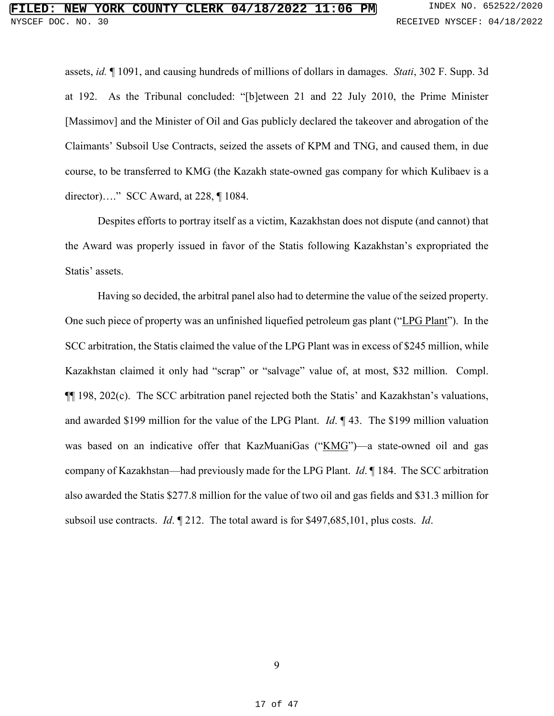assets, *id.* ¶ 1091, and causing hundreds of millions of dollars in damages. *Stati*, 302 F. Supp. 3d at 192. As the Tribunal concluded: "[b]etween 21 and 22 July 2010, the Prime Minister [Massimov] and the Minister of Oil and Gas publicly declared the takeover and abrogation of the Claimants' Subsoil Use Contracts, seized the assets of KPM and TNG, and caused them, in due course, to be transferred to KMG (the Kazakh state-owned gas company for which Kulibaev is a director)…." SCC Award, at 228, ¶ 1084.

Despites efforts to portray itself as a victim, Kazakhstan does not dispute (and cannot) that the Award was properly issued in favor of the Statis following Kazakhstan's expropriated the Statis' assets.

 Having so decided, the arbitral panel also had to determine the value of the seized property. One such piece of property was an unfinished liquefied petroleum gas plant ("LPG Plant"). In the SCC arbitration, the Statis claimed the value of the LPG Plant was in excess of \$245 million, while Kazakhstan claimed it only had "scrap" or "salvage" value of, at most, \$32 million. Compl. ¶¶ 198, 202(c). The SCC arbitration panel rejected both the Statis' and Kazakhstan's valuations, and awarded \$199 million for the value of the LPG Plant. *Id*. ¶ 43. The \$199 million valuation was based on an indicative offer that KazMuaniGas ("KMG")—a state-owned oil and gas company of Kazakhstan—had previously made for the LPG Plant. *Id*. ¶ 184. The SCC arbitration also awarded the Statis \$277.8 million for the value of two oil and gas fields and \$31.3 million for subsoil use contracts. *Id*. ¶ 212. The total award is for \$497,685,101, plus costs. *Id*.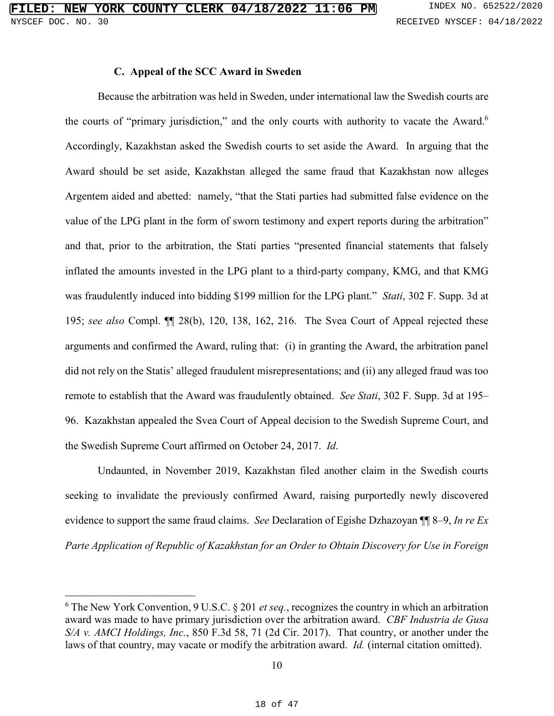#### **C. Appeal of the SCC Award in Sweden**

Because the arbitration was held in Sweden, under international law the Swedish courts are the courts of "primary jurisdiction," and the only courts with authority to vacate the Award.<sup>6</sup> Accordingly, Kazakhstan asked the Swedish courts to set aside the Award. In arguing that the Award should be set aside, Kazakhstan alleged the same fraud that Kazakhstan now alleges Argentem aided and abetted: namely, "that the Stati parties had submitted false evidence on the value of the LPG plant in the form of sworn testimony and expert reports during the arbitration" and that, prior to the arbitration, the Stati parties "presented financial statements that falsely inflated the amounts invested in the LPG plant to a third-party company, KMG, and that KMG was fraudulently induced into bidding \$199 million for the LPG plant." *Stati*, 302 F. Supp. 3d at 195; *see also* Compl. ¶¶ 28(b), 120, 138, 162, 216. The Svea Court of Appeal rejected these arguments and confirmed the Award, ruling that: (i) in granting the Award, the arbitration panel did not rely on the Statis' alleged fraudulent misrepresentations; and (ii) any alleged fraud was too remote to establish that the Award was fraudulently obtained. *See Stati*, 302 F. Supp. 3d at 195– 96. Kazakhstan appealed the Svea Court of Appeal decision to the Swedish Supreme Court, and the Swedish Supreme Court affirmed on October 24, 2017. *Id*.

Undaunted, in November 2019, Kazakhstan filed another claim in the Swedish courts seeking to invalidate the previously confirmed Award, raising purportedly newly discovered evidence to support the same fraud claims. *See* Declaration of Egishe Dzhazoyan ¶¶ 8–9, *In re Ex Parte Application of Republic of Kazakhstan for an Order to Obtain Discovery for Use in Foreign* 

 $\overline{a}$ 

<sup>6</sup> The New York Convention, 9 U.S.C. § 201 *et seq.*, recognizes the country in which an arbitration award was made to have primary jurisdiction over the arbitration award. *CBF Industria de Gusa S/A v. AMCI Holdings, Inc.*, 850 F.3d 58, 71 (2d Cir. 2017). That country, or another under the laws of that country, may vacate or modify the arbitration award. *Id.* (internal citation omitted).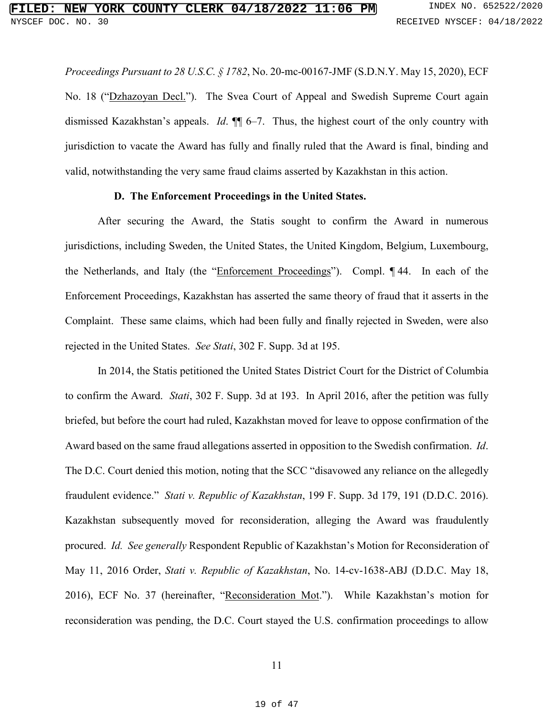*Proceedings Pursuant to 28 U.S.C. § 1782*, No. 20-mc-00167-JMF (S.D.N.Y. May 15, 2020), ECF No. 18 ("Dzhazoyan Decl."). The Svea Court of Appeal and Swedish Supreme Court again dismissed Kazakhstan's appeals. *Id*. ¶¶ 6–7. Thus, the highest court of the only country with jurisdiction to vacate the Award has fully and finally ruled that the Award is final, binding and valid, notwithstanding the very same fraud claims asserted by Kazakhstan in this action.

#### **D. The Enforcement Proceedings in the United States.**

After securing the Award, the Statis sought to confirm the Award in numerous jurisdictions, including Sweden, the United States, the United Kingdom, Belgium, Luxembourg, the Netherlands, and Italy (the "Enforcement Proceedings"). Compl. ¶ 44. In each of the Enforcement Proceedings, Kazakhstan has asserted the same theory of fraud that it asserts in the Complaint. These same claims, which had been fully and finally rejected in Sweden, were also rejected in the United States. *See Stati*, 302 F. Supp. 3d at 195.

In 2014, the Statis petitioned the United States District Court for the District of Columbia to confirm the Award. *Stati*, 302 F. Supp. 3d at 193. In April 2016, after the petition was fully briefed, but before the court had ruled, Kazakhstan moved for leave to oppose confirmation of the Award based on the same fraud allegations asserted in opposition to the Swedish confirmation. *Id*. The D.C. Court denied this motion, noting that the SCC "disavowed any reliance on the allegedly fraudulent evidence." *Stati v. Republic of Kazakhstan*, 199 F. Supp. 3d 179, 191 (D.D.C. 2016). Kazakhstan subsequently moved for reconsideration, alleging the Award was fraudulently procured. *Id. See generally* Respondent Republic of Kazakhstan's Motion for Reconsideration of May 11, 2016 Order, *Stati v. Republic of Kazakhstan*, No. 14-cv-1638-ABJ (D.D.C. May 18, 2016), ECF No. 37 (hereinafter, "Reconsideration Mot."). While Kazakhstan's motion for reconsideration was pending, the D.C. Court stayed the U.S. confirmation proceedings to allow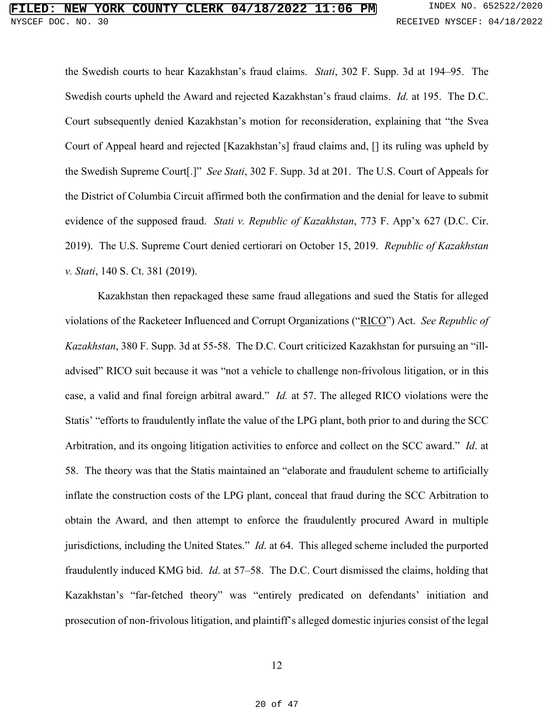the Swedish courts to hear Kazakhstan's fraud claims. *Stati*, 302 F. Supp. 3d at 194–95. The Swedish courts upheld the Award and rejected Kazakhstan's fraud claims. *Id.* at 195. The D.C. Court subsequently denied Kazakhstan's motion for reconsideration, explaining that "the Svea Court of Appeal heard and rejected [Kazakhstan's] fraud claims and, [] its ruling was upheld by the Swedish Supreme Court[.]" *See Stati*, 302 F. Supp. 3d at 201. The U.S. Court of Appeals for the District of Columbia Circuit affirmed both the confirmation and the denial for leave to submit evidence of the supposed fraud. *Stati v. Republic of Kazakhstan*, 773 F. App'x 627 (D.C. Cir. 2019). The U.S. Supreme Court denied certiorari on October 15, 2019. *Republic of Kazakhstan v. Stati*, 140 S. Ct. 381 (2019).

Kazakhstan then repackaged these same fraud allegations and sued the Statis for alleged violations of the Racketeer Influenced and Corrupt Organizations ("RICO") Act. *See Republic of Kazakhstan*, 380 F. Supp. 3d at 55-58. The D.C. Court criticized Kazakhstan for pursuing an "illadvised" RICO suit because it was "not a vehicle to challenge non-frivolous litigation, or in this case, a valid and final foreign arbitral award." *Id.* at 57. The alleged RICO violations were the Statis' "efforts to fraudulently inflate the value of the LPG plant, both prior to and during the SCC Arbitration, and its ongoing litigation activities to enforce and collect on the SCC award." *Id*. at 58. The theory was that the Statis maintained an "elaborate and fraudulent scheme to artificially inflate the construction costs of the LPG plant, conceal that fraud during the SCC Arbitration to obtain the Award, and then attempt to enforce the fraudulently procured Award in multiple jurisdictions, including the United States." *Id*. at 64. This alleged scheme included the purported fraudulently induced KMG bid. *Id*. at 57–58. The D.C. Court dismissed the claims, holding that Kazakhstan's "far-fetched theory" was "entirely predicated on defendants' initiation and prosecution of non-frivolous litigation, and plaintiff's alleged domestic injuries consist of the legal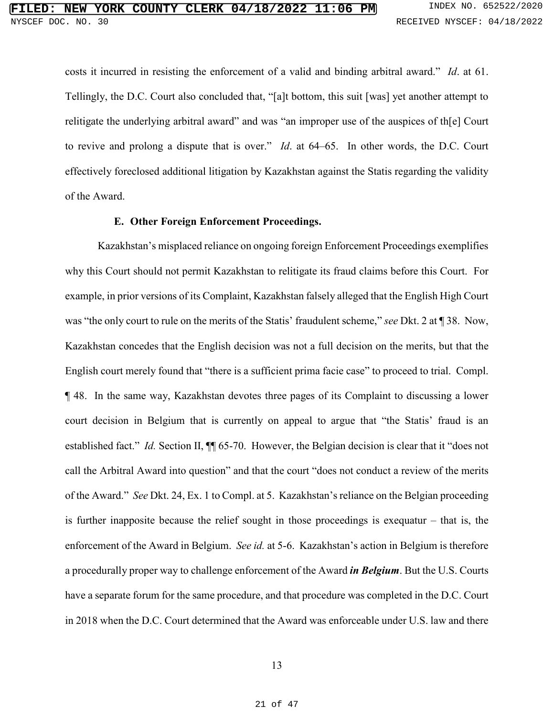costs it incurred in resisting the enforcement of a valid and binding arbitral award." *Id*. at 61. Tellingly, the D.C. Court also concluded that, "[a]t bottom, this suit [was] yet another attempt to relitigate the underlying arbitral award" and was "an improper use of the auspices of th[e] Court to revive and prolong a dispute that is over." *Id*. at 64–65. In other words, the D.C. Court effectively foreclosed additional litigation by Kazakhstan against the Statis regarding the validity of the Award.

#### **E. Other Foreign Enforcement Proceedings.**

Kazakhstan's misplaced reliance on ongoing foreign Enforcement Proceedings exemplifies why this Court should not permit Kazakhstan to relitigate its fraud claims before this Court. For example, in prior versions of its Complaint, Kazakhstan falsely alleged that the English High Court was "the only court to rule on the merits of the Statis' fraudulent scheme," *see* Dkt. 2 at ¶ 38. Now, Kazakhstan concedes that the English decision was not a full decision on the merits, but that the English court merely found that "there is a sufficient prima facie case" to proceed to trial. Compl. ¶ 48. In the same way, Kazakhstan devotes three pages of its Complaint to discussing a lower court decision in Belgium that is currently on appeal to argue that "the Statis' fraud is an established fact." *Id.* Section II,  $\P$  65-70. However, the Belgian decision is clear that it "does not call the Arbitral Award into question" and that the court "does not conduct a review of the merits of the Award." *See* Dkt. 24, Ex. 1 to Compl. at 5. Kazakhstan's reliance on the Belgian proceeding is further inapposite because the relief sought in those proceedings is exequatur – that is, the enforcement of the Award in Belgium. *See id.* at 5-6. Kazakhstan's action in Belgium is therefore a procedurally proper way to challenge enforcement of the Award *in Belgium*. But the U.S. Courts have a separate forum for the same procedure, and that procedure was completed in the D.C. Court in 2018 when the D.C. Court determined that the Award was enforceable under U.S. law and there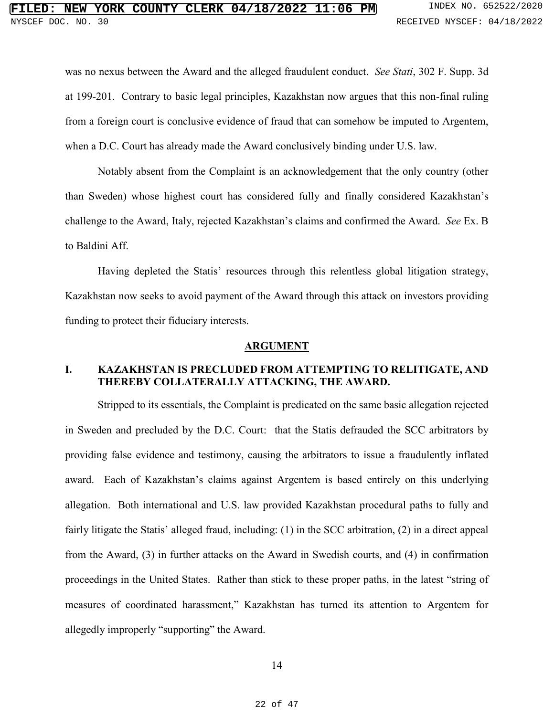was no nexus between the Award and the alleged fraudulent conduct. *See Stati*, 302 F. Supp. 3d at 199-201. Contrary to basic legal principles, Kazakhstan now argues that this non-final ruling from a foreign court is conclusive evidence of fraud that can somehow be imputed to Argentem, when a D.C. Court has already made the Award conclusively binding under U.S. law.

Notably absent from the Complaint is an acknowledgement that the only country (other than Sweden) whose highest court has considered fully and finally considered Kazakhstan's challenge to the Award, Italy, rejected Kazakhstan's claims and confirmed the Award. *See* Ex. B to Baldini Aff.

Having depleted the Statis' resources through this relentless global litigation strategy, Kazakhstan now seeks to avoid payment of the Award through this attack on investors providing funding to protect their fiduciary interests.

#### **ARGUMENT**

# **I. KAZAKHSTAN IS PRECLUDED FROM ATTEMPTING TO RELITIGATE, AND THEREBY COLLATERALLY ATTACKING, THE AWARD.**

Stripped to its essentials, the Complaint is predicated on the same basic allegation rejected in Sweden and precluded by the D.C. Court: that the Statis defrauded the SCC arbitrators by providing false evidence and testimony, causing the arbitrators to issue a fraudulently inflated award. Each of Kazakhstan's claims against Argentem is based entirely on this underlying allegation. Both international and U.S. law provided Kazakhstan procedural paths to fully and fairly litigate the Statis' alleged fraud, including: (1) in the SCC arbitration, (2) in a direct appeal from the Award, (3) in further attacks on the Award in Swedish courts, and (4) in confirmation proceedings in the United States. Rather than stick to these proper paths, in the latest "string of measures of coordinated harassment," Kazakhstan has turned its attention to Argentem for allegedly improperly "supporting" the Award.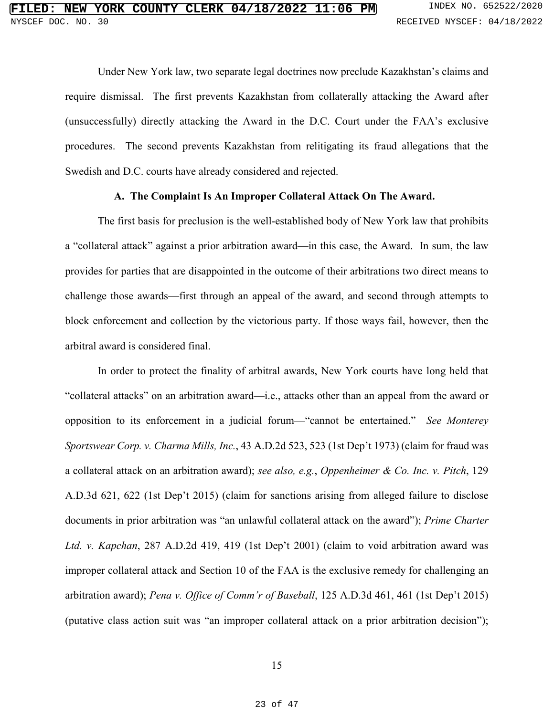Under New York law, two separate legal doctrines now preclude Kazakhstan's claims and require dismissal. The first prevents Kazakhstan from collaterally attacking the Award after (unsuccessfully) directly attacking the Award in the D.C. Court under the FAA's exclusive procedures. The second prevents Kazakhstan from relitigating its fraud allegations that the Swedish and D.C. courts have already considered and rejected.

## **A. The Complaint Is An Improper Collateral Attack On The Award.**

The first basis for preclusion is the well-established body of New York law that prohibits a "collateral attack" against a prior arbitration award—in this case, the Award. In sum, the law provides for parties that are disappointed in the outcome of their arbitrations two direct means to challenge those awards—first through an appeal of the award, and second through attempts to block enforcement and collection by the victorious party. If those ways fail, however, then the arbitral award is considered final.

In order to protect the finality of arbitral awards, New York courts have long held that "collateral attacks" on an arbitration award—i.e., attacks other than an appeal from the award or opposition to its enforcement in a judicial forum—"cannot be entertained." *See Monterey Sportswear Corp. v. Charma Mills, Inc.*, 43 A.D.2d 523, 523 (1st Dep't 1973) (claim for fraud was a collateral attack on an arbitration award); *see also, e.g.*, *Oppenheimer & Co. Inc. v. Pitch*, 129 A.D.3d 621, 622 (1st Dep't 2015) (claim for sanctions arising from alleged failure to disclose documents in prior arbitration was "an unlawful collateral attack on the award"); *Prime Charter Ltd. v. Kapchan*, 287 A.D.2d 419, 419 (1st Dep't 2001) (claim to void arbitration award was improper collateral attack and Section 10 of the FAA is the exclusive remedy for challenging an arbitration award); *Pena v. Office of Comm'r of Baseball*, 125 A.D.3d 461, 461 (1st Dep't 2015) (putative class action suit was "an improper collateral attack on a prior arbitration decision");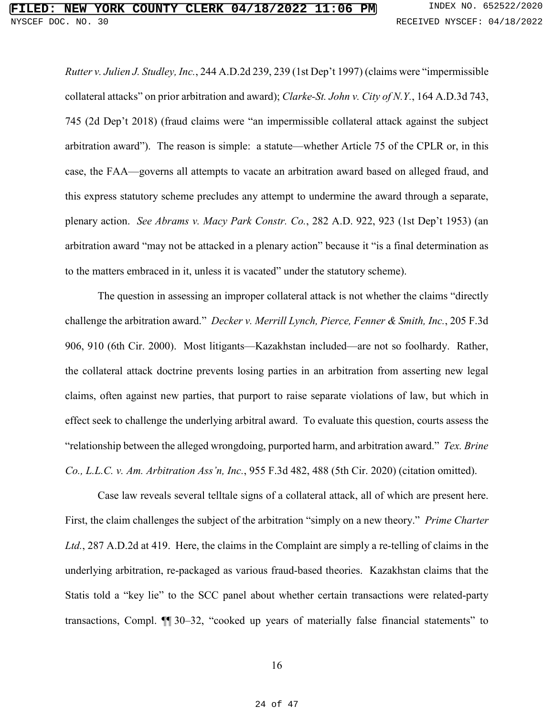*Rutter v. Julien J. Studley, Inc.*, 244 A.D.2d 239, 239 (1st Dep't 1997) (claims were "impermissible collateral attacks" on prior arbitration and award); *Clarke-St. John v. City of N.Y.*, 164 A.D.3d 743, 745 (2d Dep't 2018) (fraud claims were "an impermissible collateral attack against the subject arbitration award"). The reason is simple: a statute—whether Article 75 of the CPLR or, in this case, the FAA—governs all attempts to vacate an arbitration award based on alleged fraud, and this express statutory scheme precludes any attempt to undermine the award through a separate, plenary action. *See Abrams v. Macy Park Constr. Co.*, 282 A.D. 922, 923 (1st Dep't 1953) (an arbitration award "may not be attacked in a plenary action" because it "is a final determination as to the matters embraced in it, unless it is vacated" under the statutory scheme).

The question in assessing an improper collateral attack is not whether the claims "directly challenge the arbitration award." *Decker v. Merrill Lynch, Pierce, Fenner & Smith, Inc.*, 205 F.3d 906, 910 (6th Cir. 2000). Most litigants—Kazakhstan included—are not so foolhardy. Rather, the collateral attack doctrine prevents losing parties in an arbitration from asserting new legal claims, often against new parties, that purport to raise separate violations of law, but which in effect seek to challenge the underlying arbitral award. To evaluate this question, courts assess the "relationship between the alleged wrongdoing, purported harm, and arbitration award." *Tex. Brine Co., L.L.C. v. Am. Arbitration Ass'n, Inc.*, 955 F.3d 482, 488 (5th Cir. 2020) (citation omitted).

Case law reveals several telltale signs of a collateral attack, all of which are present here. First, the claim challenges the subject of the arbitration "simply on a new theory." *Prime Charter Ltd.*, 287 A.D.2d at 419. Here, the claims in the Complaint are simply a re-telling of claims in the underlying arbitration, re-packaged as various fraud-based theories. Kazakhstan claims that the Statis told a "key lie" to the SCC panel about whether certain transactions were related-party transactions, Compl. ¶¶ 30–32, "cooked up years of materially false financial statements" to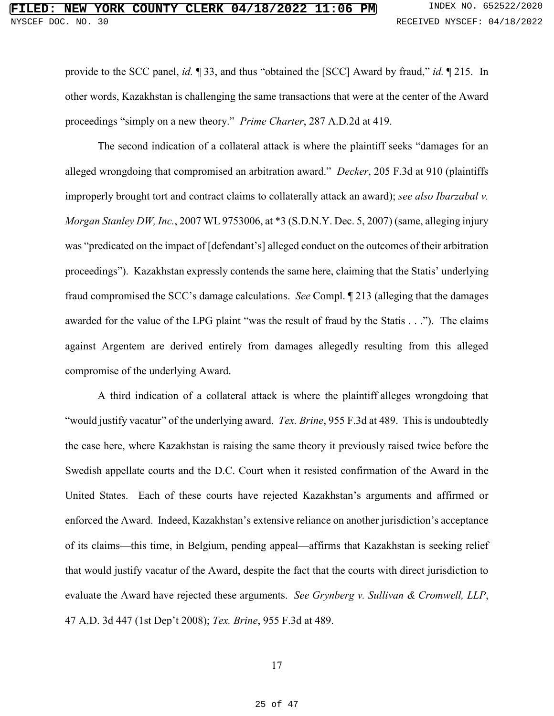# **FIRE COUNTY CLERK 04/18/2022 11:06 PM** INDEX NO. 652522/2020 NYSCEF DOC. NO. 30 RECEIVED NYSCEF: 04/18/2022

provide to the SCC panel, *id.* ¶ 33, and thus "obtained the [SCC] Award by fraud," *id.* ¶ 215. In other words, Kazakhstan is challenging the same transactions that were at the center of the Award proceedings "simply on a new theory." *Prime Charter*, 287 A.D.2d at 419.

The second indication of a collateral attack is where the plaintiff seeks "damages for an alleged wrongdoing that compromised an arbitration award." *Decker*, 205 F.3d at 910 (plaintiffs improperly brought tort and contract claims to collaterally attack an award); *see also Ibarzabal v. Morgan Stanley DW, Inc.*, 2007 WL 9753006, at \*3 (S.D.N.Y. Dec. 5, 2007) (same, alleging injury was "predicated on the impact of [defendant's] alleged conduct on the outcomes of their arbitration proceedings"). Kazakhstan expressly contends the same here, claiming that the Statis' underlying fraud compromised the SCC's damage calculations. *See* Compl. ¶ 213 (alleging that the damages awarded for the value of the LPG plaint "was the result of fraud by the Statis . . ."). The claims against Argentem are derived entirely from damages allegedly resulting from this alleged compromise of the underlying Award.

A third indication of a collateral attack is where the plaintiff alleges wrongdoing that "would justify vacatur" of the underlying award. *Tex. Brine*, 955 F.3d at 489. This is undoubtedly the case here, where Kazakhstan is raising the same theory it previously raised twice before the Swedish appellate courts and the D.C. Court when it resisted confirmation of the Award in the United States. Each of these courts have rejected Kazakhstan's arguments and affirmed or enforced the Award. Indeed, Kazakhstan's extensive reliance on another jurisdiction's acceptance of its claims—this time, in Belgium, pending appeal—affirms that Kazakhstan is seeking relief that would justify vacatur of the Award, despite the fact that the courts with direct jurisdiction to evaluate the Award have rejected these arguments. *See Grynberg v. Sullivan & Cromwell, LLP*, 47 A.D. 3d 447 (1st Dep't 2008); *Tex. Brine*, 955 F.3d at 489.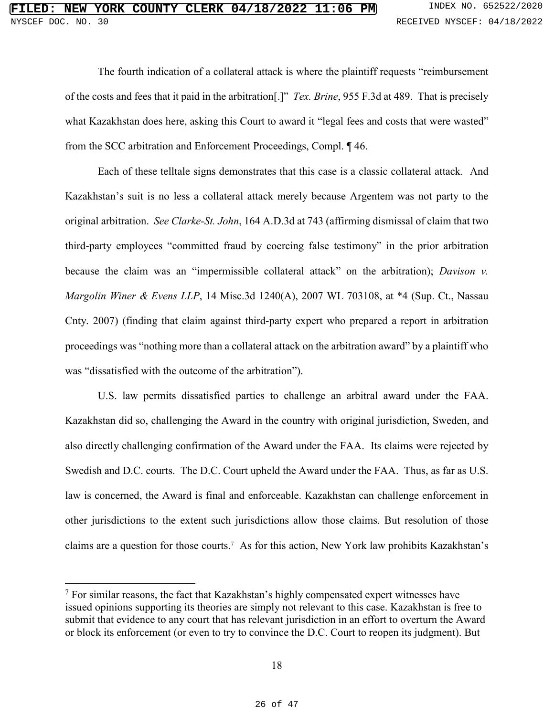The fourth indication of a collateral attack is where the plaintiff requests "reimbursement of the costs and fees that it paid in the arbitration[.]" *Tex. Brine*, 955 F.3d at 489. That is precisely what Kazakhstan does here, asking this Court to award it "legal fees and costs that were wasted" from the SCC arbitration and Enforcement Proceedings, Compl. ¶ 46.

Each of these telltale signs demonstrates that this case is a classic collateral attack. And Kazakhstan's suit is no less a collateral attack merely because Argentem was not party to the original arbitration. *See Clarke-St. John*, 164 A.D.3d at 743 (affirming dismissal of claim that two third-party employees "committed fraud by coercing false testimony" in the prior arbitration because the claim was an "impermissible collateral attack" on the arbitration); *Davison v. Margolin Winer & Evens LLP*, 14 Misc.3d 1240(A), 2007 WL 703108, at \*4 (Sup. Ct., Nassau Cnty. 2007) (finding that claim against third-party expert who prepared a report in arbitration proceedings was "nothing more than a collateral attack on the arbitration award" by a plaintiff who was "dissatisfied with the outcome of the arbitration").

U.S. law permits dissatisfied parties to challenge an arbitral award under the FAA. Kazakhstan did so, challenging the Award in the country with original jurisdiction, Sweden, and also directly challenging confirmation of the Award under the FAA. Its claims were rejected by Swedish and D.C. courts. The D.C. Court upheld the Award under the FAA. Thus, as far as U.S. law is concerned, the Award is final and enforceable. Kazakhstan can challenge enforcement in other jurisdictions to the extent such jurisdictions allow those claims. But resolution of those claims are a question for those courts.<sup>7</sup> As for this action, New York law prohibits Kazakhstan's

 $\overline{a}$ 

 $7$  For similar reasons, the fact that Kazakhstan's highly compensated expert witnesses have issued opinions supporting its theories are simply not relevant to this case. Kazakhstan is free to submit that evidence to any court that has relevant jurisdiction in an effort to overturn the Award or block its enforcement (or even to try to convince the D.C. Court to reopen its judgment). But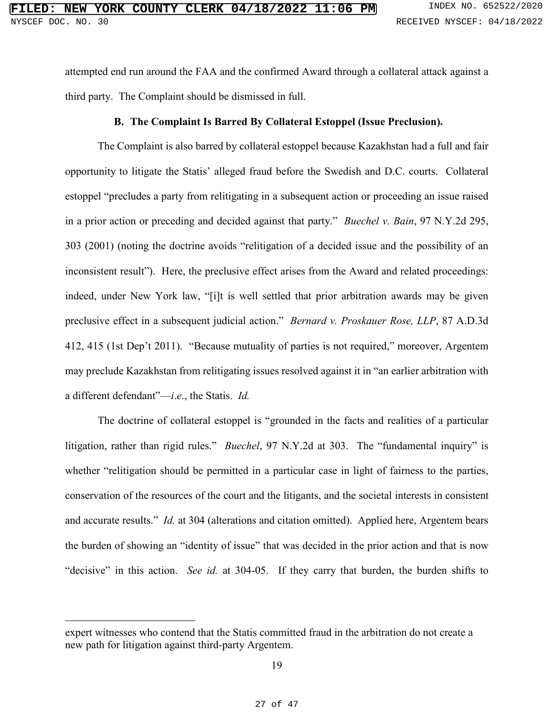attempted end run around the FAA and the confirmed Award through a collateral attack against a third party. The Complaint should be dismissed in full.

### **B. The Complaint Is Barred By Collateral Estoppel (Issue Preclusion).**

The Complaint is also barred by collateral estoppel because Kazakhstan had a full and fair opportunity to litigate the Statis' alleged fraud before the Swedish and D.C. courts. Collateral estoppel "precludes a party from relitigating in a subsequent action or proceeding an issue raised in a prior action or preceding and decided against that party." *Buechel v. Bain*, 97 N.Y.2d 295, 303 (2001) (noting the doctrine avoids "relitigation of a decided issue and the possibility of an inconsistent result"). Here, the preclusive effect arises from the Award and related proceedings: indeed, under New York law, "[i]t is well settled that prior arbitration awards may be given preclusive effect in a subsequent judicial action." *Bernard v. Proskauer Rose, LLP*, 87 A.D.3d 412, 415 (1st Dep't 2011). "Because mutuality of parties is not required," moreover, Argentem may preclude Kazakhstan from relitigating issues resolved against it in "an earlier arbitration with a different defendant"—*i*.*e*., the Statis. *Id.* 

The doctrine of collateral estoppel is "grounded in the facts and realities of a particular litigation, rather than rigid rules." *Buechel*, 97 N.Y.2d at 303. The "fundamental inquiry" is whether "relitigation should be permitted in a particular case in light of fairness to the parties, conservation of the resources of the court and the litigants, and the societal interests in consistent and accurate results." *Id.* at 304 (alterations and citation omitted). Applied here, Argentem bears the burden of showing an "identity of issue" that was decided in the prior action and that is now "decisive" in this action. *See id.* at 304-05. If they carry that burden, the burden shifts to

 $\overline{a}$ 

expert witnesses who contend that the Statis committed fraud in the arbitration do not create a new path for litigation against third-party Argentem.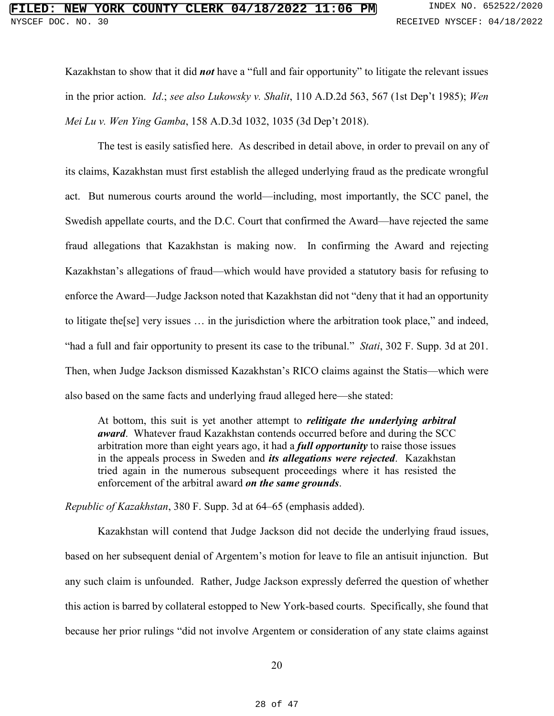Kazakhstan to show that it did *not* have a "full and fair opportunity" to litigate the relevant issues in the prior action. *Id*.; *see also Lukowsky v. Shalit*, 110 A.D.2d 563, 567 (1st Dep't 1985); *Wen Mei Lu v. Wen Ying Gamba*, 158 A.D.3d 1032, 1035 (3d Dep't 2018).

The test is easily satisfied here. As described in detail above, in order to prevail on any of its claims, Kazakhstan must first establish the alleged underlying fraud as the predicate wrongful act. But numerous courts around the world—including, most importantly, the SCC panel, the Swedish appellate courts, and the D.C. Court that confirmed the Award—have rejected the same fraud allegations that Kazakhstan is making now. In confirming the Award and rejecting Kazakhstan's allegations of fraud—which would have provided a statutory basis for refusing to enforce the Award—Judge Jackson noted that Kazakhstan did not "deny that it had an opportunity to litigate the[se] very issues … in the jurisdiction where the arbitration took place," and indeed, "had a full and fair opportunity to present its case to the tribunal." *Stati*, 302 F. Supp. 3d at 201. Then, when Judge Jackson dismissed Kazakhstan's RICO claims against the Statis—which were also based on the same facts and underlying fraud alleged here—she stated:

At bottom, this suit is yet another attempt to *relitigate the underlying arbitral award*. Whatever fraud Kazakhstan contends occurred before and during the SCC arbitration more than eight years ago, it had a *full opportunity* to raise those issues in the appeals process in Sweden and *its allegations were rejected*. Kazakhstan tried again in the numerous subsequent proceedings where it has resisted the enforcement of the arbitral award *on the same grounds*.

*Republic of Kazakhstan*, 380 F. Supp. 3d at 64–65 (emphasis added).

Kazakhstan will contend that Judge Jackson did not decide the underlying fraud issues, based on her subsequent denial of Argentem's motion for leave to file an antisuit injunction. But any such claim is unfounded. Rather, Judge Jackson expressly deferred the question of whether this action is barred by collateral estopped to New York-based courts. Specifically, she found that because her prior rulings "did not involve Argentem or consideration of any state claims against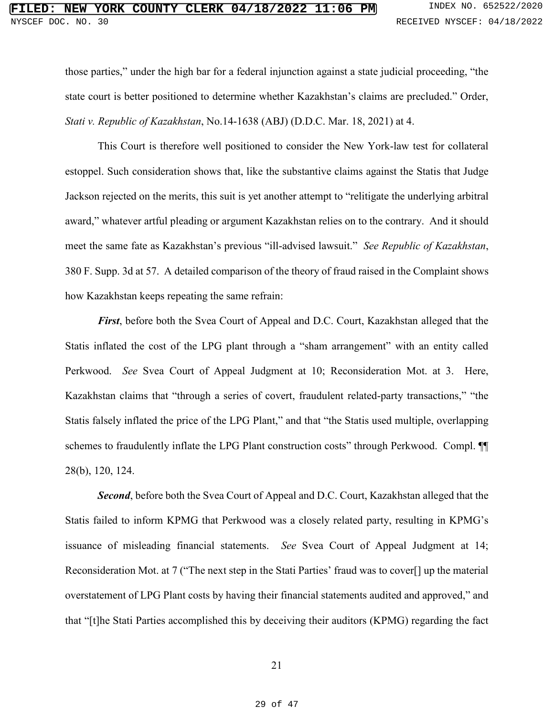those parties," under the high bar for a federal injunction against a state judicial proceeding, "the state court is better positioned to determine whether Kazakhstan's claims are precluded." Order, *Stati v. Republic of Kazakhstan*, No.14-1638 (ABJ) (D.D.C. Mar. 18, 2021) at 4.

This Court is therefore well positioned to consider the New York-law test for collateral estoppel. Such consideration shows that, like the substantive claims against the Statis that Judge Jackson rejected on the merits, this suit is yet another attempt to "relitigate the underlying arbitral award," whatever artful pleading or argument Kazakhstan relies on to the contrary. And it should meet the same fate as Kazakhstan's previous "ill-advised lawsuit." *See Republic of Kazakhstan*, 380 F. Supp. 3d at 57. A detailed comparison of the theory of fraud raised in the Complaint shows how Kazakhstan keeps repeating the same refrain:

*First*, before both the Svea Court of Appeal and D.C. Court, Kazakhstan alleged that the Statis inflated the cost of the LPG plant through a "sham arrangement" with an entity called Perkwood. *See* Svea Court of Appeal Judgment at 10; Reconsideration Mot. at 3. Here, Kazakhstan claims that "through a series of covert, fraudulent related-party transactions," "the Statis falsely inflated the price of the LPG Plant," and that "the Statis used multiple, overlapping schemes to fraudulently inflate the LPG Plant construction costs" through Perkwood. Compl.  $\P$ 28(b), 120, 124.

*Second*, before both the Svea Court of Appeal and D.C. Court, Kazakhstan alleged that the Statis failed to inform KPMG that Perkwood was a closely related party, resulting in KPMG's issuance of misleading financial statements. *See* Svea Court of Appeal Judgment at 14; Reconsideration Mot. at 7 ("The next step in the Stati Parties' fraud was to cover[] up the material overstatement of LPG Plant costs by having their financial statements audited and approved," and that "[t]he Stati Parties accomplished this by deceiving their auditors (KPMG) regarding the fact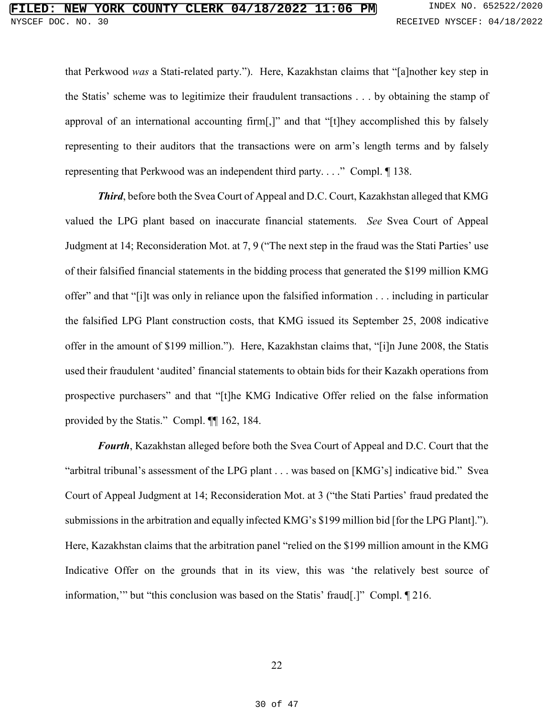that Perkwood *was* a Stati-related party."). Here, Kazakhstan claims that "[a]nother key step in the Statis' scheme was to legitimize their fraudulent transactions . . . by obtaining the stamp of approval of an international accounting firm[,]" and that "[t]hey accomplished this by falsely representing to their auditors that the transactions were on arm's length terms and by falsely representing that Perkwood was an independent third party. . . ." Compl. ¶ 138.

*Third*, before both the Svea Court of Appeal and D.C. Court, Kazakhstan alleged that KMG valued the LPG plant based on inaccurate financial statements. *See* Svea Court of Appeal Judgment at 14; Reconsideration Mot. at 7, 9 ("The next step in the fraud was the Stati Parties' use of their falsified financial statements in the bidding process that generated the \$199 million KMG offer" and that "[i]t was only in reliance upon the falsified information . . . including in particular the falsified LPG Plant construction costs, that KMG issued its September 25, 2008 indicative offer in the amount of \$199 million."). Here, Kazakhstan claims that, "[i]n June 2008, the Statis used their fraudulent 'audited' financial statements to obtain bids for their Kazakh operations from prospective purchasers" and that "[t]he KMG Indicative Offer relied on the false information provided by the Statis." Compl. ¶¶ 162, 184.

*Fourth*, Kazakhstan alleged before both the Svea Court of Appeal and D.C. Court that the "arbitral tribunal's assessment of the LPG plant . . . was based on [KMG's] indicative bid." Svea Court of Appeal Judgment at 14; Reconsideration Mot. at 3 ("the Stati Parties' fraud predated the submissions in the arbitration and equally infected KMG's \$199 million bid [for the LPG Plant]."). Here, Kazakhstan claims that the arbitration panel "relied on the \$199 million amount in the KMG Indicative Offer on the grounds that in its view, this was 'the relatively best source of information,'" but "this conclusion was based on the Statis' fraud[.]" Compl. ¶ 216.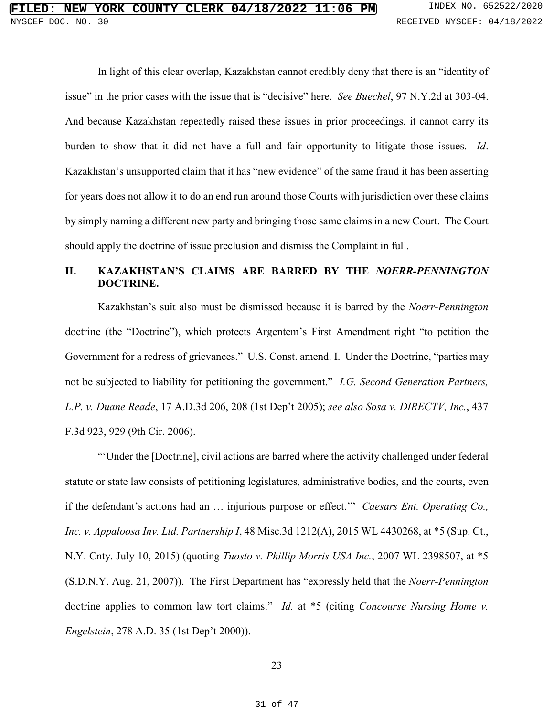In light of this clear overlap, Kazakhstan cannot credibly deny that there is an "identity of issue" in the prior cases with the issue that is "decisive" here. *See Buechel*, 97 N.Y.2d at 303-04. And because Kazakhstan repeatedly raised these issues in prior proceedings, it cannot carry its burden to show that it did not have a full and fair opportunity to litigate those issues. *Id*. Kazakhstan's unsupported claim that it has "new evidence" of the same fraud it has been asserting for years does not allow it to do an end run around those Courts with jurisdiction over these claims by simply naming a different new party and bringing those same claims in a new Court. The Court should apply the doctrine of issue preclusion and dismiss the Complaint in full.

# **II. KAZAKHSTAN'S CLAIMS ARE BARRED BY THE** *NOERR-PENNINGTON* **DOCTRINE.**

Kazakhstan's suit also must be dismissed because it is barred by the *Noerr-Pennington* doctrine (the "Doctrine"), which protects Argentem's First Amendment right "to petition the Government for a redress of grievances." U.S. Const. amend. I. Under the Doctrine, "parties may not be subjected to liability for petitioning the government." *I.G. Second Generation Partners, L.P. v. Duane Reade*, 17 A.D.3d 206, 208 (1st Dep't 2005); *see also Sosa v. DIRECTV, Inc.*, 437 F.3d 923, 929 (9th Cir. 2006).

"'Under the [Doctrine], civil actions are barred where the activity challenged under federal statute or state law consists of petitioning legislatures, administrative bodies, and the courts, even if the defendant's actions had an … injurious purpose or effect.'" *Caesars Ent. Operating Co., Inc. v. Appaloosa Inv. Ltd. Partnership I*, 48 Misc.3d 1212(A), 2015 WL 4430268, at \*5 (Sup. Ct., N.Y. Cnty. July 10, 2015) (quoting *Tuosto v. Phillip Morris USA Inc.*, 2007 WL 2398507, at \*5 (S.D.N.Y. Aug. 21, 2007)). The First Department has "expressly held that the *Noerr-Pennington* doctrine applies to common law tort claims." *Id.* at \*5 (citing *Concourse Nursing Home v. Engelstein*, 278 A.D. 35 (1st Dep't 2000)).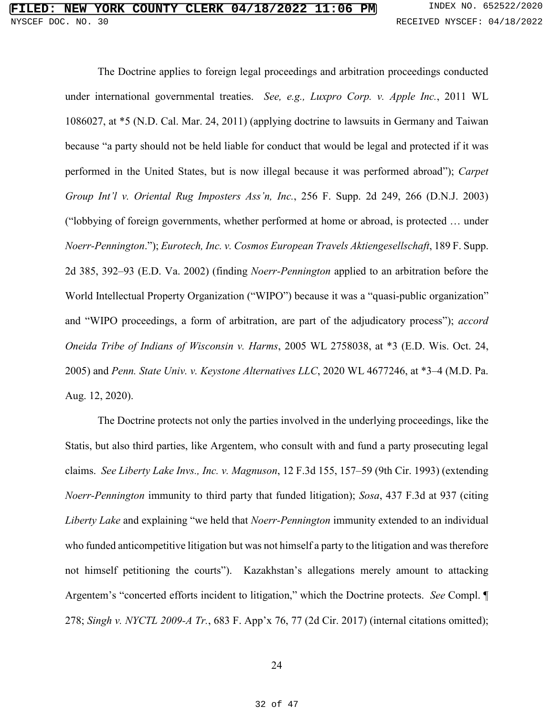The Doctrine applies to foreign legal proceedings and arbitration proceedings conducted under international governmental treaties. *See, e.g., Luxpro Corp. v. Apple Inc.*, 2011 WL 1086027, at \*5 (N.D. Cal. Mar. 24, 2011) (applying doctrine to lawsuits in Germany and Taiwan because "a party should not be held liable for conduct that would be legal and protected if it was performed in the United States, but is now illegal because it was performed abroad"); *Carpet Group Int'l v. Oriental Rug Imposters Ass'n, Inc.*, 256 F. Supp. 2d 249, 266 (D.N.J. 2003) ("lobbying of foreign governments, whether performed at home or abroad, is protected … under *Noerr-Pennington*."); *Eurotech, Inc. v. Cosmos European Travels Aktiengesellschaft*, 189 F. Supp. 2d 385, 392–93 (E.D. Va. 2002) (finding *Noerr-Pennington* applied to an arbitration before the World Intellectual Property Organization ("WIPO") because it was a "quasi-public organization" and "WIPO proceedings, a form of arbitration, are part of the adjudicatory process"); *accord Oneida Tribe of Indians of Wisconsin v. Harms*, 2005 WL 2758038, at \*3 (E.D. Wis. Oct. 24, 2005) and *Penn. State Univ. v. Keystone Alternatives LLC*, 2020 WL 4677246, at \*3–4 (M.D. Pa. Aug. 12, 2020).

The Doctrine protects not only the parties involved in the underlying proceedings, like the Statis, but also third parties, like Argentem, who consult with and fund a party prosecuting legal claims. *See Liberty Lake Invs., Inc. v. Magnuson*, 12 F.3d 155, 157–59 (9th Cir. 1993) (extending *Noerr-Pennington* immunity to third party that funded litigation); *Sosa*, 437 F.3d at 937 (citing *Liberty Lake* and explaining "we held that *Noerr-Pennington* immunity extended to an individual who funded anticompetitive litigation but was not himself a party to the litigation and was therefore not himself petitioning the courts"). Kazakhstan's allegations merely amount to attacking Argentem's "concerted efforts incident to litigation," which the Doctrine protects. *See* Compl. ¶ 278; *Singh v. NYCTL 2009-A Tr.*, 683 F. App'x 76, 77 (2d Cir. 2017) (internal citations omitted);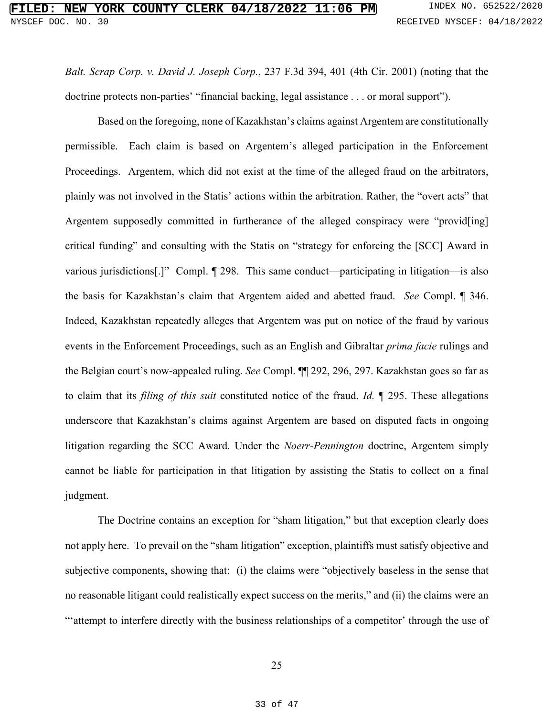*Balt. Scrap Corp. v. David J. Joseph Corp.*, 237 F.3d 394, 401 (4th Cir. 2001) (noting that the doctrine protects non-parties' "financial backing, legal assistance . . . or moral support").

Based on the foregoing, none of Kazakhstan's claims against Argentem are constitutionally permissible. Each claim is based on Argentem's alleged participation in the Enforcement Proceedings. Argentem, which did not exist at the time of the alleged fraud on the arbitrators, plainly was not involved in the Statis' actions within the arbitration. Rather, the "overt acts" that Argentem supposedly committed in furtherance of the alleged conspiracy were "provid[ing] critical funding" and consulting with the Statis on "strategy for enforcing the [SCC] Award in various jurisdictions[.]" Compl. ¶ 298. This same conduct—participating in litigation—is also the basis for Kazakhstan's claim that Argentem aided and abetted fraud. *See* Compl. ¶ 346. Indeed, Kazakhstan repeatedly alleges that Argentem was put on notice of the fraud by various events in the Enforcement Proceedings, such as an English and Gibraltar *prima facie* rulings and the Belgian court's now-appealed ruling. *See* Compl. ¶¶ 292, 296, 297. Kazakhstan goes so far as to claim that its *filing of this suit* constituted notice of the fraud. *Id.* ¶ 295. These allegations underscore that Kazakhstan's claims against Argentem are based on disputed facts in ongoing litigation regarding the SCC Award. Under the *Noerr-Pennington* doctrine, Argentem simply cannot be liable for participation in that litigation by assisting the Statis to collect on a final judgment.

The Doctrine contains an exception for "sham litigation," but that exception clearly does not apply here. To prevail on the "sham litigation" exception, plaintiffs must satisfy objective and subjective components, showing that: (i) the claims were "objectively baseless in the sense that no reasonable litigant could realistically expect success on the merits," and (ii) the claims were an ""attempt to interfere directly with the business relationships of a competitor' through the use of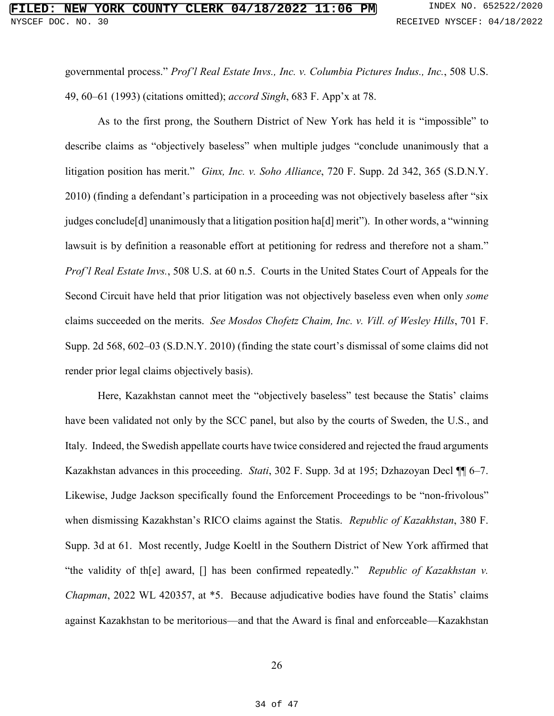governmental process." *Prof'l Real Estate Invs., Inc. v. Columbia Pictures Indus., Inc.*, 508 U.S. 49, 60–61 (1993) (citations omitted); *accord Singh*, 683 F. App'x at 78.

As to the first prong, the Southern District of New York has held it is "impossible" to describe claims as "objectively baseless" when multiple judges "conclude unanimously that a litigation position has merit." *Ginx, Inc. v. Soho Alliance*, 720 F. Supp. 2d 342, 365 (S.D.N.Y. 2010) (finding a defendant's participation in a proceeding was not objectively baseless after "six judges conclude[d] unanimously that a litigation position ha[d] merit"). In other words, a "winning lawsuit is by definition a reasonable effort at petitioning for redress and therefore not a sham." *Prof'l Real Estate Invs.*, 508 U.S. at 60 n.5. Courts in the United States Court of Appeals for the Second Circuit have held that prior litigation was not objectively baseless even when only *some* claims succeeded on the merits. *See Mosdos Chofetz Chaim, Inc. v. Vill. of Wesley Hills*, 701 F. Supp. 2d 568, 602–03 (S.D.N.Y. 2010) (finding the state court's dismissal of some claims did not render prior legal claims objectively basis).

Here, Kazakhstan cannot meet the "objectively baseless" test because the Statis' claims have been validated not only by the SCC panel, but also by the courts of Sweden, the U.S., and Italy. Indeed, the Swedish appellate courts have twice considered and rejected the fraud arguments Kazakhstan advances in this proceeding. *Stati*, 302 F. Supp. 3d at 195; Dzhazoyan Decl ¶¶ 6–7. Likewise, Judge Jackson specifically found the Enforcement Proceedings to be "non-frivolous" when dismissing Kazakhstan's RICO claims against the Statis. *Republic of Kazakhstan*, 380 F. Supp. 3d at 61. Most recently, Judge Koeltl in the Southern District of New York affirmed that "the validity of th[e] award, [] has been confirmed repeatedly." *Republic of Kazakhstan v. Chapman*, 2022 WL 420357, at \*5. Because adjudicative bodies have found the Statis' claims against Kazakhstan to be meritorious—and that the Award is final and enforceable—Kazakhstan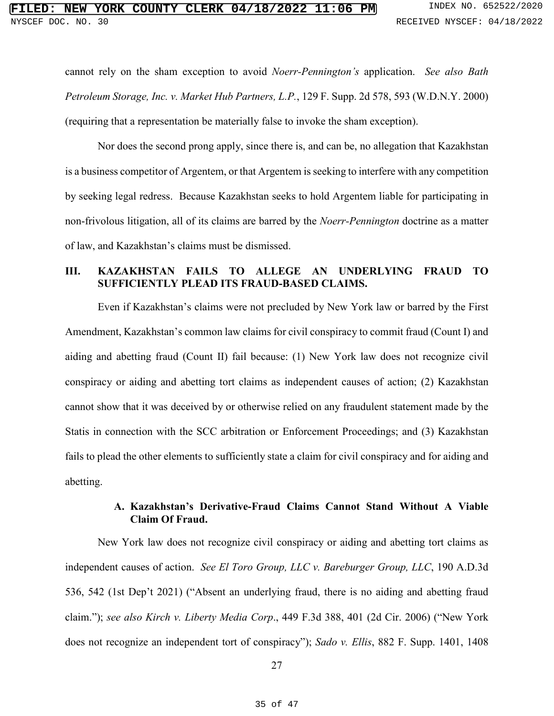cannot rely on the sham exception to avoid *Noerr-Pennington's* application. *See also Bath Petroleum Storage, Inc. v. Market Hub Partners, L.P.*, 129 F. Supp. 2d 578, 593 (W.D.N.Y. 2000) (requiring that a representation be materially false to invoke the sham exception).

Nor does the second prong apply, since there is, and can be, no allegation that Kazakhstan is a business competitor of Argentem, or that Argentem is seeking to interfere with any competition by seeking legal redress. Because Kazakhstan seeks to hold Argentem liable for participating in non-frivolous litigation, all of its claims are barred by the *Noerr-Pennington* doctrine as a matter of law, and Kazakhstan's claims must be dismissed.

# **III. KAZAKHSTAN FAILS TO ALLEGE AN UNDERLYING FRAUD TO SUFFICIENTLY PLEAD ITS FRAUD-BASED CLAIMS.**

Even if Kazakhstan's claims were not precluded by New York law or barred by the First Amendment, Kazakhstan's common law claims for civil conspiracy to commit fraud (Count I) and aiding and abetting fraud (Count II) fail because: (1) New York law does not recognize civil conspiracy or aiding and abetting tort claims as independent causes of action; (2) Kazakhstan cannot show that it was deceived by or otherwise relied on any fraudulent statement made by the Statis in connection with the SCC arbitration or Enforcement Proceedings; and (3) Kazakhstan fails to plead the other elements to sufficiently state a claim for civil conspiracy and for aiding and abetting.

# **A. Kazakhstan's Derivative-Fraud Claims Cannot Stand Without A Viable Claim Of Fraud.**

New York law does not recognize civil conspiracy or aiding and abetting tort claims as independent causes of action. *See El Toro Group, LLC v. Bareburger Group, LLC*, 190 A.D.3d 536, 542 (1st Dep't 2021) ("Absent an underlying fraud, there is no aiding and abetting fraud claim."); *see also Kirch v. Liberty Media Corp*., 449 F.3d 388, 401 (2d Cir. 2006) ("New York does not recognize an independent tort of conspiracy"); *Sado v. Ellis*, 882 F. Supp. 1401, 1408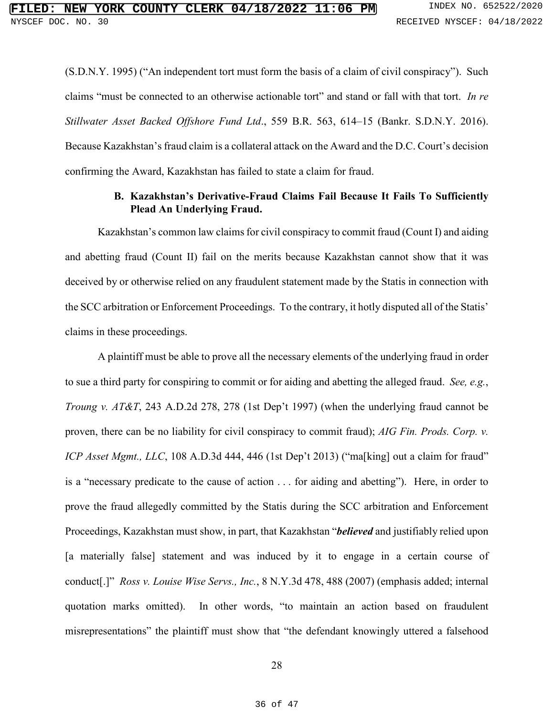(S.D.N.Y. 1995) ("An independent tort must form the basis of a claim of civil conspiracy"). Such claims "must be connected to an otherwise actionable tort" and stand or fall with that tort. *In re Stillwater Asset Backed Offshore Fund Ltd*., 559 B.R. 563, 614–15 (Bankr. S.D.N.Y. 2016). Because Kazakhstan's fraud claim is a collateral attack on the Award and the D.C. Court's decision confirming the Award, Kazakhstan has failed to state a claim for fraud.

## **B. Kazakhstan's Derivative-Fraud Claims Fail Because It Fails To Sufficiently Plead An Underlying Fraud.**

Kazakhstan's common law claims for civil conspiracy to commit fraud (Count I) and aiding and abetting fraud (Count II) fail on the merits because Kazakhstan cannot show that it was deceived by or otherwise relied on any fraudulent statement made by the Statis in connection with the SCC arbitration or Enforcement Proceedings. To the contrary, it hotly disputed all of the Statis' claims in these proceedings.

A plaintiff must be able to prove all the necessary elements of the underlying fraud in order to sue a third party for conspiring to commit or for aiding and abetting the alleged fraud. *See, e.g.*, *Troung v. AT&T*, 243 A.D.2d 278, 278 (1st Dep't 1997) (when the underlying fraud cannot be proven, there can be no liability for civil conspiracy to commit fraud); *AIG Fin. Prods. Corp. v. ICP Asset Mgmt., LLC*, 108 A.D.3d 444, 446 (1st Dep't 2013) ("ma[king] out a claim for fraud" is a "necessary predicate to the cause of action . . . for aiding and abetting"). Here, in order to prove the fraud allegedly committed by the Statis during the SCC arbitration and Enforcement Proceedings, Kazakhstan must show, in part, that Kazakhstan "*believed* and justifiably relied upon [a materially false] statement and was induced by it to engage in a certain course of conduct[.]" *Ross v. Louise Wise Servs., Inc.*, 8 N.Y.3d 478, 488 (2007) (emphasis added; internal quotation marks omitted). In other words, "to maintain an action based on fraudulent misrepresentations" the plaintiff must show that "the defendant knowingly uttered a falsehood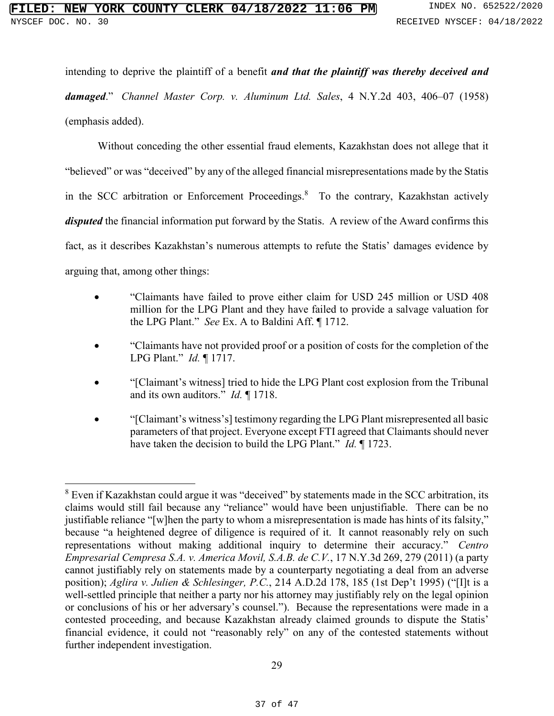$\overline{a}$ 

intending to deprive the plaintiff of a benefit *and that the plaintiff was thereby deceived and damaged*." *Channel Master Corp. v. Aluminum Ltd. Sales*, 4 N.Y.2d 403, 406–07 (1958) (emphasis added).

Without conceding the other essential fraud elements, Kazakhstan does not allege that it "believed" or was "deceived" by any of the alleged financial misrepresentations made by the Statis in the SCC arbitration or Enforcement Proceedings.<sup>8</sup> To the contrary, Kazakhstan actively *disputed* the financial information put forward by the Statis. A review of the Award confirms this fact, as it describes Kazakhstan's numerous attempts to refute the Statis' damages evidence by arguing that, among other things:

- "Claimants have failed to prove either claim for USD 245 million or USD 408 million for the LPG Plant and they have failed to provide a salvage valuation for the LPG Plant." *See* Ex. A to Baldini Aff. ¶ 1712.
- "Claimants have not provided proof or a position of costs for the completion of the LPG Plant." *Id.* ¶ 1717.
- "[Claimant's witness] tried to hide the LPG Plant cost explosion from the Tribunal and its own auditors." *Id.* ¶ 1718.
- "[Claimant's witness's] testimony regarding the LPG Plant misrepresented all basic parameters of that project. Everyone except FTI agreed that Claimants should never have taken the decision to build the LPG Plant." *Id.* ¶ 1723.

 $8$  Even if Kazakhstan could argue it was "deceived" by statements made in the SCC arbitration, its claims would still fail because any "reliance" would have been unjustifiable. There can be no justifiable reliance "[w]hen the party to whom a misrepresentation is made has hints of its falsity," because "a heightened degree of diligence is required of it. It cannot reasonably rely on such representations without making additional inquiry to determine their accuracy." *Centro Empresarial Cempresa S.A. v. America Movil, S.A.B. de C.V.*, 17 N.Y.3d 269, 279 (2011) (a party cannot justifiably rely on statements made by a counterparty negotiating a deal from an adverse position); *Aglira v. Julien & Schlesinger, P.C.*, 214 A.D.2d 178, 185 (1st Dep't 1995) ("[I]t is a well-settled principle that neither a party nor his attorney may justifiably rely on the legal opinion or conclusions of his or her adversary's counsel."). Because the representations were made in a contested proceeding, and because Kazakhstan already claimed grounds to dispute the Statis' financial evidence, it could not "reasonably rely" on any of the contested statements without further independent investigation.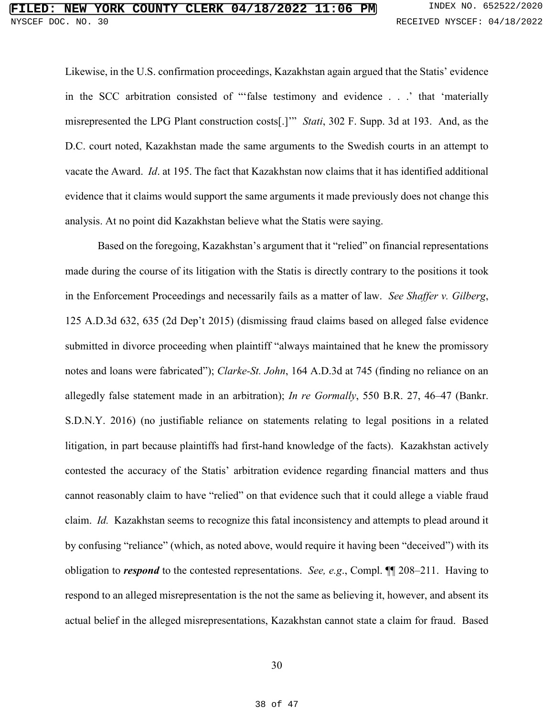Likewise, in the U.S. confirmation proceedings, Kazakhstan again argued that the Statis' evidence in the SCC arbitration consisted of "'false testimony and evidence . . .' that 'materially misrepresented the LPG Plant construction costs[.]'" *Stati*, 302 F. Supp. 3d at 193. And, as the D.C. court noted, Kazakhstan made the same arguments to the Swedish courts in an attempt to vacate the Award. *Id*. at 195. The fact that Kazakhstan now claims that it has identified additional evidence that it claims would support the same arguments it made previously does not change this analysis. At no point did Kazakhstan believe what the Statis were saying.

Based on the foregoing, Kazakhstan's argument that it "relied" on financial representations made during the course of its litigation with the Statis is directly contrary to the positions it took in the Enforcement Proceedings and necessarily fails as a matter of law. *See Shaffer v. Gilberg*, 125 A.D.3d 632, 635 (2d Dep't 2015) (dismissing fraud claims based on alleged false evidence submitted in divorce proceeding when plaintiff "always maintained that he knew the promissory notes and loans were fabricated"); *Clarke-St. John*, 164 A.D.3d at 745 (finding no reliance on an allegedly false statement made in an arbitration); *In re Gormally*, 550 B.R. 27, 46–47 (Bankr. S.D.N.Y. 2016) (no justifiable reliance on statements relating to legal positions in a related litigation, in part because plaintiffs had first-hand knowledge of the facts). Kazakhstan actively contested the accuracy of the Statis' arbitration evidence regarding financial matters and thus cannot reasonably claim to have "relied" on that evidence such that it could allege a viable fraud claim. *Id.* Kazakhstan seems to recognize this fatal inconsistency and attempts to plead around it by confusing "reliance" (which, as noted above, would require it having been "deceived") with its obligation to *respond* to the contested representations. *See, e.g*., Compl. ¶¶ 208–211. Having to respond to an alleged misrepresentation is the not the same as believing it, however, and absent its actual belief in the alleged misrepresentations, Kazakhstan cannot state a claim for fraud. Based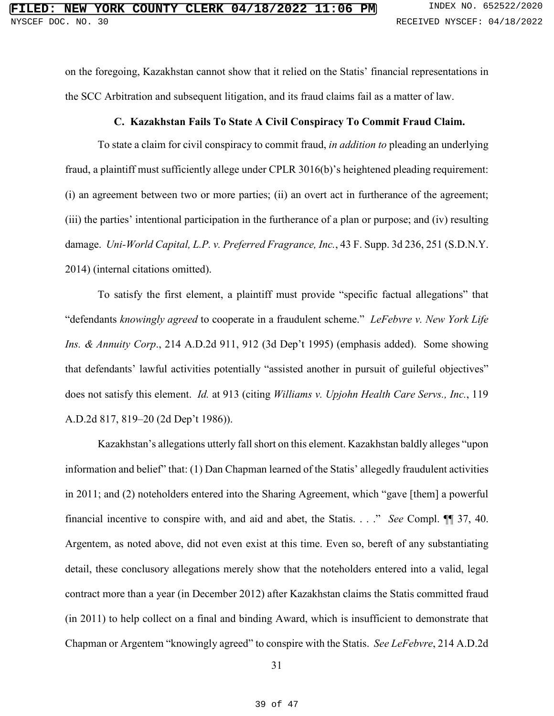on the foregoing, Kazakhstan cannot show that it relied on the Statis' financial representations in the SCC Arbitration and subsequent litigation, and its fraud claims fail as a matter of law.

#### **C. Kazakhstan Fails To State A Civil Conspiracy To Commit Fraud Claim.**

To state a claim for civil conspiracy to commit fraud, *in addition to* pleading an underlying fraud, a plaintiff must sufficiently allege under CPLR 3016(b)'s heightened pleading requirement: (i) an agreement between two or more parties; (ii) an overt act in furtherance of the agreement; (iii) the parties' intentional participation in the furtherance of a plan or purpose; and (iv) resulting damage. *Uni-World Capital, L.P. v. Preferred Fragrance, Inc.*, 43 F. Supp. 3d 236, 251 (S.D.N.Y. 2014) (internal citations omitted).

To satisfy the first element, a plaintiff must provide "specific factual allegations" that "defendants *knowingly agreed* to cooperate in a fraudulent scheme." *LeFebvre v. New York Life Ins. & Annuity Corp*., 214 A.D.2d 911, 912 (3d Dep't 1995) (emphasis added). Some showing that defendants' lawful activities potentially "assisted another in pursuit of guileful objectives" does not satisfy this element. *Id.* at 913 (citing *Williams v. Upjohn Health Care Servs., Inc.*, 119 A.D.2d 817, 819–20 (2d Dep't 1986)).

Kazakhstan's allegations utterly fall short on this element. Kazakhstan baldly alleges "upon information and belief" that: (1) Dan Chapman learned of the Statis' allegedly fraudulent activities in 2011; and (2) noteholders entered into the Sharing Agreement, which "gave [them] a powerful financial incentive to conspire with, and aid and abet, the Statis. . . ." *See* Compl. ¶¶ 37, 40. Argentem, as noted above, did not even exist at this time. Even so, bereft of any substantiating detail, these conclusory allegations merely show that the noteholders entered into a valid, legal contract more than a year (in December 2012) after Kazakhstan claims the Statis committed fraud (in 2011) to help collect on a final and binding Award, which is insufficient to demonstrate that Chapman or Argentem "knowingly agreed" to conspire with the Statis. *See LeFebvre*, 214 A.D.2d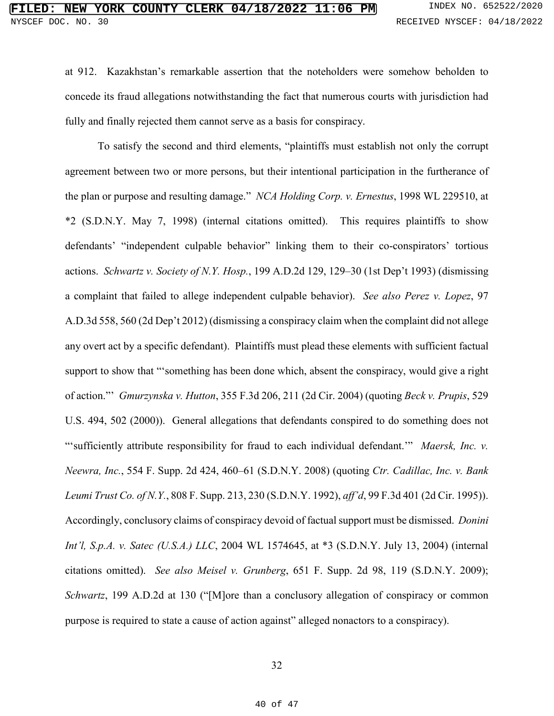at 912. Kazakhstan's remarkable assertion that the noteholders were somehow beholden to concede its fraud allegations notwithstanding the fact that numerous courts with jurisdiction had fully and finally rejected them cannot serve as a basis for conspiracy.

To satisfy the second and third elements, "plaintiffs must establish not only the corrupt agreement between two or more persons, but their intentional participation in the furtherance of the plan or purpose and resulting damage." *NCA Holding Corp. v. Ernestus*, 1998 WL 229510, at \*2 (S.D.N.Y. May 7, 1998) (internal citations omitted). This requires plaintiffs to show defendants' "independent culpable behavior" linking them to their co-conspirators' tortious actions. *Schwartz v. Society of N.Y. Hosp.*, 199 A.D.2d 129, 129–30 (1st Dep't 1993) (dismissing a complaint that failed to allege independent culpable behavior). *See also Perez v. Lopez*, 97 A.D.3d 558, 560 (2d Dep't 2012) (dismissing a conspiracy claim when the complaint did not allege any overt act by a specific defendant). Plaintiffs must plead these elements with sufficient factual support to show that "'something has been done which, absent the conspiracy, would give a right of action."' *Gmurzynska v. Hutton*, 355 F.3d 206, 211 (2d Cir. 2004) (quoting *Beck v. Prupis*, 529 U.S. 494, 502 (2000)). General allegations that defendants conspired to do something does not "'sufficiently attribute responsibility for fraud to each individual defendant.'" *Maersk, Inc. v. Neewra, Inc.*, 554 F. Supp. 2d 424, 460–61 (S.D.N.Y. 2008) (quoting *Ctr. Cadillac, Inc. v. Bank Leumi Trust Co. of N.Y.*, 808 F. Supp. 213, 230 (S.D.N.Y. 1992), *aff'd*, 99 F.3d 401 (2d Cir. 1995)). Accordingly, conclusory claims of conspiracy devoid of factual support must be dismissed. *Donini Int'l, S.p.A. v. Satec (U.S.A.) LLC*, 2004 WL 1574645, at \*3 (S.D.N.Y. July 13, 2004) (internal citations omitted). *See also Meisel v. Grunberg*, 651 F. Supp. 2d 98, 119 (S.D.N.Y. 2009); *Schwartz*, 199 A.D.2d at 130 ("[M]ore than a conclusory allegation of conspiracy or common purpose is required to state a cause of action against" alleged nonactors to a conspiracy).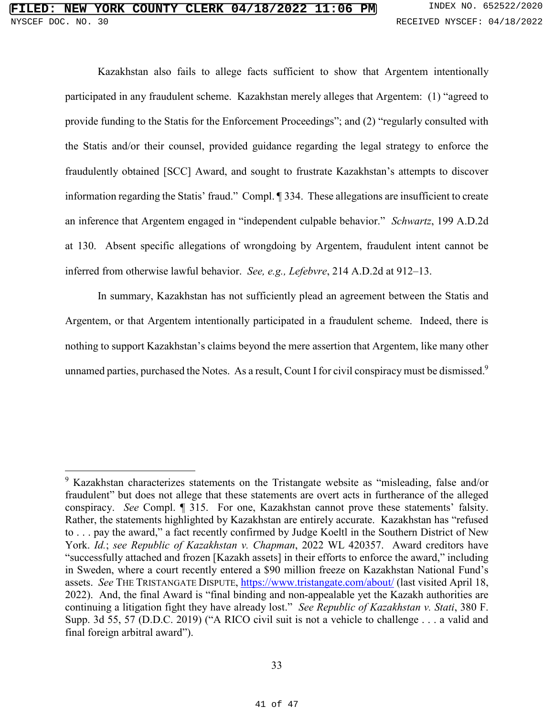$\overline{a}$ 

Kazakhstan also fails to allege facts sufficient to show that Argentem intentionally participated in any fraudulent scheme. Kazakhstan merely alleges that Argentem: (1) "agreed to provide funding to the Statis for the Enforcement Proceedings"; and (2) "regularly consulted with the Statis and/or their counsel, provided guidance regarding the legal strategy to enforce the fraudulently obtained [SCC] Award, and sought to frustrate Kazakhstan's attempts to discover information regarding the Statis' fraud." Compl. ¶ 334. These allegations are insufficient to create an inference that Argentem engaged in "independent culpable behavior." *Schwartz*, 199 A.D.2d at 130. Absent specific allegations of wrongdoing by Argentem, fraudulent intent cannot be inferred from otherwise lawful behavior. *See, e.g., Lefebvre*, 214 A.D.2d at 912–13.

In summary, Kazakhstan has not sufficiently plead an agreement between the Statis and Argentem, or that Argentem intentionally participated in a fraudulent scheme. Indeed, there is nothing to support Kazakhstan's claims beyond the mere assertion that Argentem, like many other unnamed parties, purchased the Notes. As a result, Count I for civil conspiracy must be dismissed.<sup>9</sup>

<sup>&</sup>lt;sup>9</sup> Kazakhstan characterizes statements on the Tristangate website as "misleading, false and/or fraudulent" but does not allege that these statements are overt acts in furtherance of the alleged conspiracy. *See* Compl. ¶ 315. For one, Kazakhstan cannot prove these statements' falsity. Rather, the statements highlighted by Kazakhstan are entirely accurate. Kazakhstan has "refused to . . . pay the award," a fact recently confirmed by Judge Koeltl in the Southern District of New York. *Id.*; *see Republic of Kazakhstan v. Chapman*, 2022 WL 420357. Award creditors have "successfully attached and frozen [Kazakh assets] in their efforts to enforce the award," including in Sweden, where a court recently entered a \$90 million freeze on Kazakhstan National Fund's assets. *See* THE TRISTANGATE DISPUTE, https://www.tristangate.com/about/ (last visited April 18, 2022). And, the final Award is "final binding and non-appealable yet the Kazakh authorities are continuing a litigation fight they have already lost." *See Republic of Kazakhstan v. Stati*, 380 F. Supp. 3d 55, 57 (D.D.C. 2019) ("A RICO civil suit is not a vehicle to challenge . . . a valid and final foreign arbitral award").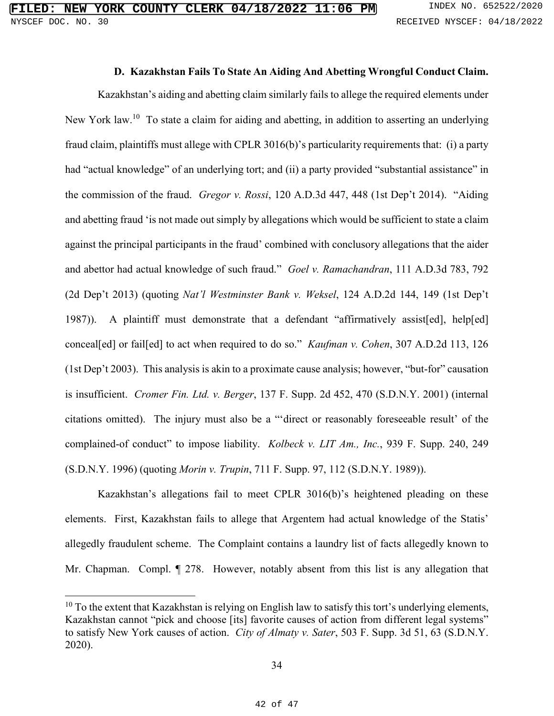## **D. Kazakhstan Fails To State An Aiding And Abetting Wrongful Conduct Claim.**

Kazakhstan's aiding and abetting claim similarly fails to allege the required elements under New York law.<sup>10</sup> To state a claim for aiding and abetting, in addition to asserting an underlying fraud claim, plaintiffs must allege with CPLR 3016(b)'s particularity requirements that: (i) a party had "actual knowledge" of an underlying tort; and (ii) a party provided "substantial assistance" in the commission of the fraud. *Gregor v. Rossi*, 120 A.D.3d 447, 448 (1st Dep't 2014). "Aiding and abetting fraud 'is not made out simply by allegations which would be sufficient to state a claim against the principal participants in the fraud' combined with conclusory allegations that the aider and abettor had actual knowledge of such fraud." *Goel v. Ramachandran*, 111 A.D.3d 783, 792 (2d Dep't 2013) (quoting *Nat'l Westminster Bank v. Weksel*, 124 A.D.2d 144, 149 (1st Dep't 1987)). A plaintiff must demonstrate that a defendant "affirmatively assist[ed], help[ed] conceal[ed] or fail[ed] to act when required to do so." *Kaufman v. Cohen*, 307 A.D.2d 113, 126 (1st Dep't 2003). This analysis is akin to a proximate cause analysis; however, "but-for" causation is insufficient. *Cromer Fin. Ltd. v. Berger*, 137 F. Supp. 2d 452, 470 (S.D.N.Y. 2001) (internal citations omitted). The injury must also be a "'direct or reasonably foreseeable result' of the complained-of conduct" to impose liability. *Kolbeck v. LIT Am., Inc.*, 939 F. Supp. 240, 249 (S.D.N.Y. 1996) (quoting *Morin v. Trupin*, 711 F. Supp. 97, 112 (S.D.N.Y. 1989)).

Kazakhstan's allegations fail to meet CPLR 3016(b)'s heightened pleading on these elements. First, Kazakhstan fails to allege that Argentem had actual knowledge of the Statis' allegedly fraudulent scheme. The Complaint contains a laundry list of facts allegedly known to Mr. Chapman. Compl. ¶ 278. However, notably absent from this list is any allegation that

 $\overline{a}$ 

 $10$  To the extent that Kazakhstan is relying on English law to satisfy this tort's underlying elements, Kazakhstan cannot "pick and choose [its] favorite causes of action from different legal systems" to satisfy New York causes of action. *City of Almaty v. Sater*, 503 F. Supp. 3d 51, 63 (S.D.N.Y. 2020).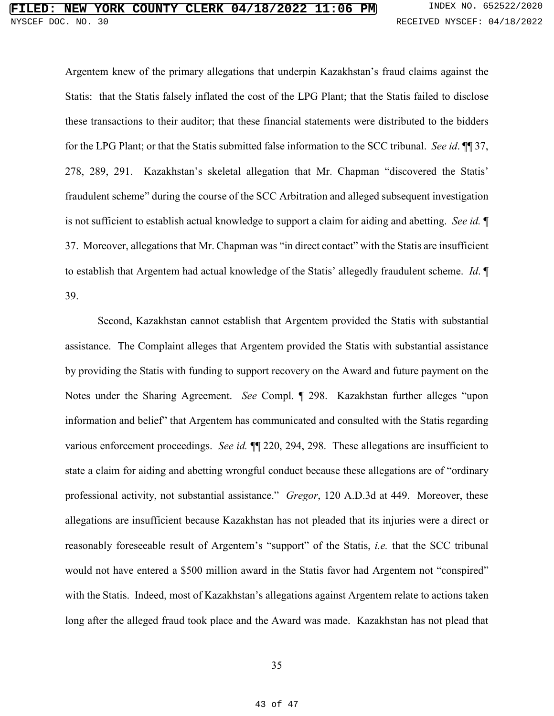Argentem knew of the primary allegations that underpin Kazakhstan's fraud claims against the Statis: that the Statis falsely inflated the cost of the LPG Plant; that the Statis failed to disclose these transactions to their auditor; that these financial statements were distributed to the bidders for the LPG Plant; or that the Statis submitted false information to the SCC tribunal. *See id*. ¶¶ 37, 278, 289, 291. Kazakhstan's skeletal allegation that Mr. Chapman "discovered the Statis' fraudulent scheme" during the course of the SCC Arbitration and alleged subsequent investigation is not sufficient to establish actual knowledge to support a claim for aiding and abetting. *See id.* ¶ 37. Moreover, allegations that Mr. Chapman was "in direct contact" with the Statis are insufficient to establish that Argentem had actual knowledge of the Statis' allegedly fraudulent scheme. *Id*. ¶ 39.

Second, Kazakhstan cannot establish that Argentem provided the Statis with substantial assistance. The Complaint alleges that Argentem provided the Statis with substantial assistance by providing the Statis with funding to support recovery on the Award and future payment on the Notes under the Sharing Agreement. *See* Compl. ¶ 298. Kazakhstan further alleges "upon information and belief" that Argentem has communicated and consulted with the Statis regarding various enforcement proceedings. *See id.* ¶¶ 220, 294, 298. These allegations are insufficient to state a claim for aiding and abetting wrongful conduct because these allegations are of "ordinary professional activity, not substantial assistance." *Gregor*, 120 A.D.3d at 449. Moreover, these allegations are insufficient because Kazakhstan has not pleaded that its injuries were a direct or reasonably foreseeable result of Argentem's "support" of the Statis, *i.e.* that the SCC tribunal would not have entered a \$500 million award in the Statis favor had Argentem not "conspired" with the Statis. Indeed, most of Kazakhstan's allegations against Argentem relate to actions taken long after the alleged fraud took place and the Award was made. Kazakhstan has not plead that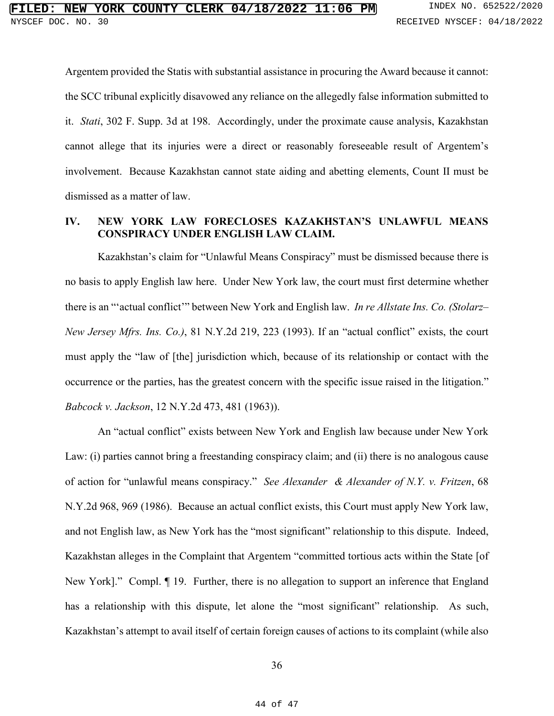Argentem provided the Statis with substantial assistance in procuring the Award because it cannot: the SCC tribunal explicitly disavowed any reliance on the allegedly false information submitted to it. *Stati*, 302 F. Supp. 3d at 198. Accordingly, under the proximate cause analysis, Kazakhstan cannot allege that its injuries were a direct or reasonably foreseeable result of Argentem's involvement. Because Kazakhstan cannot state aiding and abetting elements, Count II must be dismissed as a matter of law.

### **IV. NEW YORK LAW FORECLOSES KAZAKHSTAN'S UNLAWFUL MEANS CONSPIRACY UNDER ENGLISH LAW CLAIM.**

Kazakhstan's claim for "Unlawful Means Conspiracy" must be dismissed because there is no basis to apply English law here. Under New York law, the court must first determine whether there is an "'actual conflict'" between New York and English law. *In re Allstate Ins. Co. (Stolarz– New Jersey Mfrs. Ins. Co.)*, 81 N.Y.2d 219, 223 (1993). If an "actual conflict" exists, the court must apply the "law of [the] jurisdiction which, because of its relationship or contact with the occurrence or the parties, has the greatest concern with the specific issue raised in the litigation." *Babcock v. Jackson*, 12 N.Y.2d 473, 481 (1963)).

An "actual conflict" exists between New York and English law because under New York Law: (i) parties cannot bring a freestanding conspiracy claim; and (ii) there is no analogous cause of action for "unlawful means conspiracy." *See Alexander & Alexander of N.Y. v. Fritzen*, 68 N.Y.2d 968, 969 (1986). Because an actual conflict exists, this Court must apply New York law, and not English law, as New York has the "most significant" relationship to this dispute. Indeed, Kazakhstan alleges in the Complaint that Argentem "committed tortious acts within the State [of New York]." Compl. ¶ 19. Further, there is no allegation to support an inference that England has a relationship with this dispute, let alone the "most significant" relationship. As such, Kazakhstan's attempt to avail itself of certain foreign causes of actions to its complaint (while also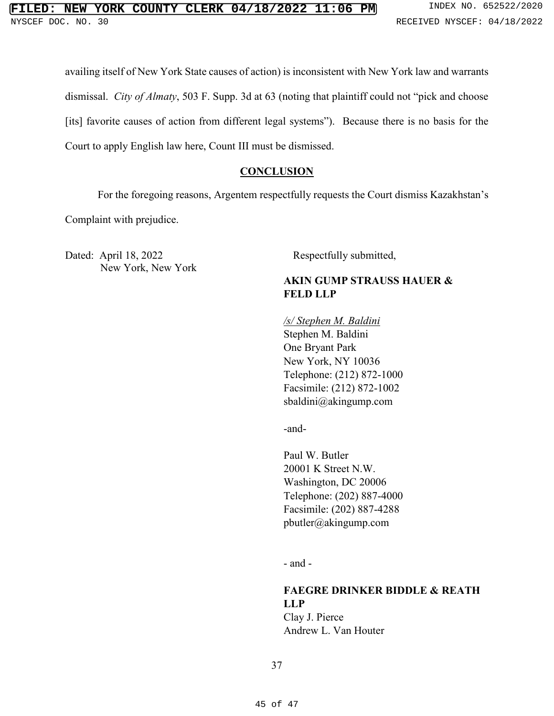availing itself of New York State causes of action) is inconsistent with New York law and warrants dismissal. *City of Almaty*, 503 F. Supp. 3d at 63 (noting that plaintiff could not "pick and choose [its] favorite causes of action from different legal systems"). Because there is no basis for the Court to apply English law here, Count III must be dismissed.

# **CONCLUSION**

For the foregoing reasons, Argentem respectfully requests the Court dismiss Kazakhstan's

Complaint with prejudice.

Dated: April 18, 2022 Respectfully submitted, New York, New York

# **AKIN GUMP STRAUSS HAUER & FELD LLP**

#### */s/ Stephen M. Baldini*

Stephen M. Baldini One Bryant Park New York, NY 10036 Telephone: (212) 872-1000 Facsimile: (212) 872-1002 sbaldini@akingump.com

-and-

Paul W. Butler 20001 K Street N.W. Washington, DC 20006 Telephone: (202) 887-4000 Facsimile: (202) 887-4288 pbutler@akingump.com

- and -

**FAEGRE DRINKER BIDDLE & REATH LLP** Clay J. Pierce Andrew L. Van Houter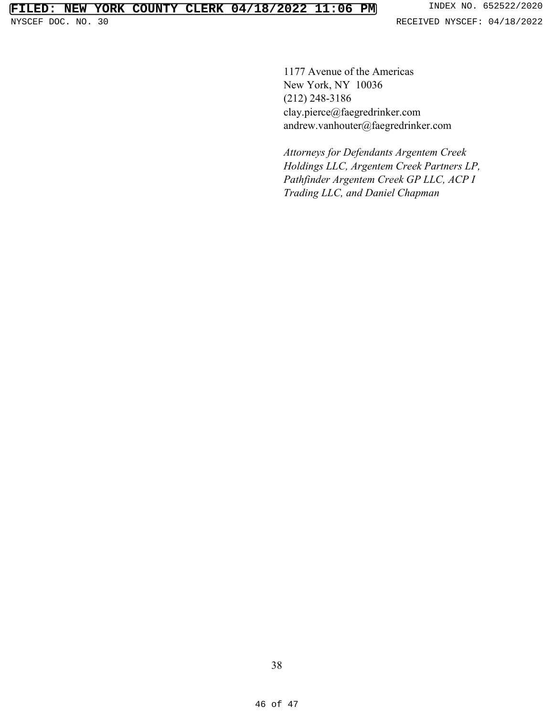1177 Avenue of the Americas New York, NY 10036 (212) 248-3186 clay.pierce@faegredrinker.com andrew.vanhouter@faegredrinker.com

*Attorneys for Defendants Argentem Creek Holdings LLC, Argentem Creek Partners LP, Pathfinder Argentem Creek GP LLC, ACP I Trading LLC, and Daniel Chapman*